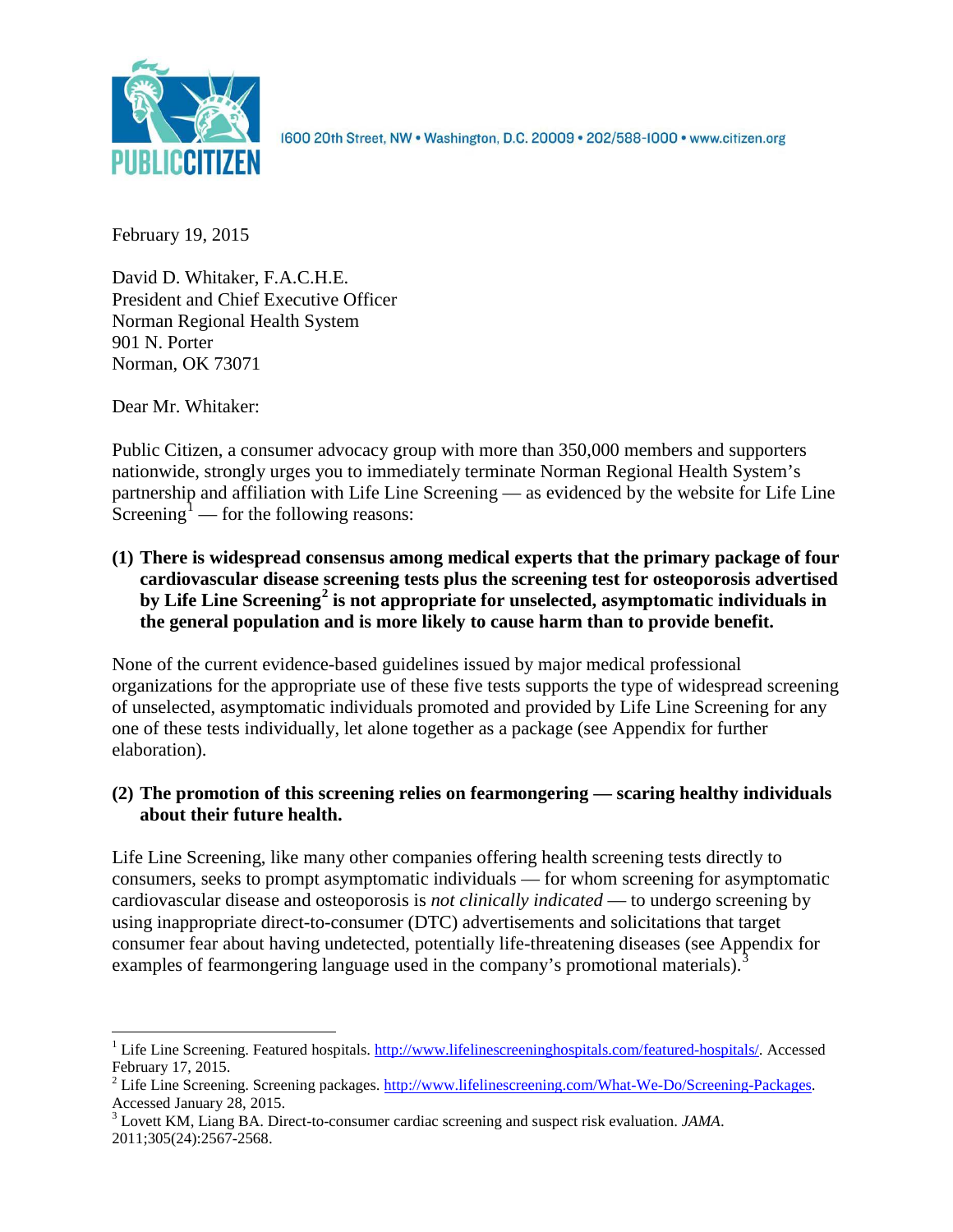

1600 20th Street, NW . Washington, D.C. 20009 . 202/588-1000 . www.citizen.org

February 19, 2015

David D. Whitaker, F.A.C.H.E. President and Chief Executive Officer Norman Regional Health System 901 N. Porter Norman, OK 73071

Dear Mr. Whitaker:

Public Citizen, a consumer advocacy group with more than 350,000 members and supporters nationwide, strongly urges you to immediately terminate Norman Regional Health System's partnership and affiliation with Life Line Screening — as evidenced by the website for Life Line Screening<sup>[1](#page-0-0)</sup> — for the following reasons:

**(1) There is widespread consensus among medical experts that the primary package of four cardiovascular disease screening tests plus the screening test for osteoporosis advertised by Life Line Screening[2](#page-0-1) is not appropriate for unselected, asymptomatic individuals in the general population and is more likely to cause harm than to provide benefit.**

None of the current evidence-based guidelines issued by major medical professional organizations for the appropriate use of these five tests supports the type of widespread screening of unselected, asymptomatic individuals promoted and provided by Life Line Screening for any one of these tests individually, let alone together as a package (see Appendix for further elaboration).

# **(2) The promotion of this screening relies on fearmongering — scaring healthy individuals about their future health.**

Life Line Screening, like many other companies offering health screening tests directly to consumers, seeks to prompt asymptomatic individuals — for whom screening for asymptomatic cardiovascular disease and osteoporosis is *not clinically indicated* — to undergo screening by using inappropriate direct-to-consumer (DTC) advertisements and solicitations that target consumer fear about having undetected, potentially life-threatening diseases (see Appendix for examples of fearmongering language used in the company's promotional materials).<sup>[3](#page-0-2)</sup>

<span id="page-0-0"></span><sup>&</sup>lt;sup>1</sup> Life Line Screening. Featured hospitals. [http://www.lifelinescreeninghospitals.com/featured-hospitals/.](http://www.lifelinescreeninghospitals.com/featured-hospitals/) Accessed

<span id="page-0-1"></span>February 17, 2015.<br><sup>2</sup> Life Line Screening. Screening packages. [http://www.lifelinescreening.com/What-We-Do/Screening-Packages.](http://www.lifelinescreening.com/What-We-Do/Screening-Packages)<br>Accessed January 28, 2015.

<span id="page-0-2"></span><sup>&</sup>lt;sup>3</sup> Lovett KM, Liang BA. Direct-to-consumer cardiac screening and suspect risk evaluation. *JAMA*. 2011;305(24):2567-2568.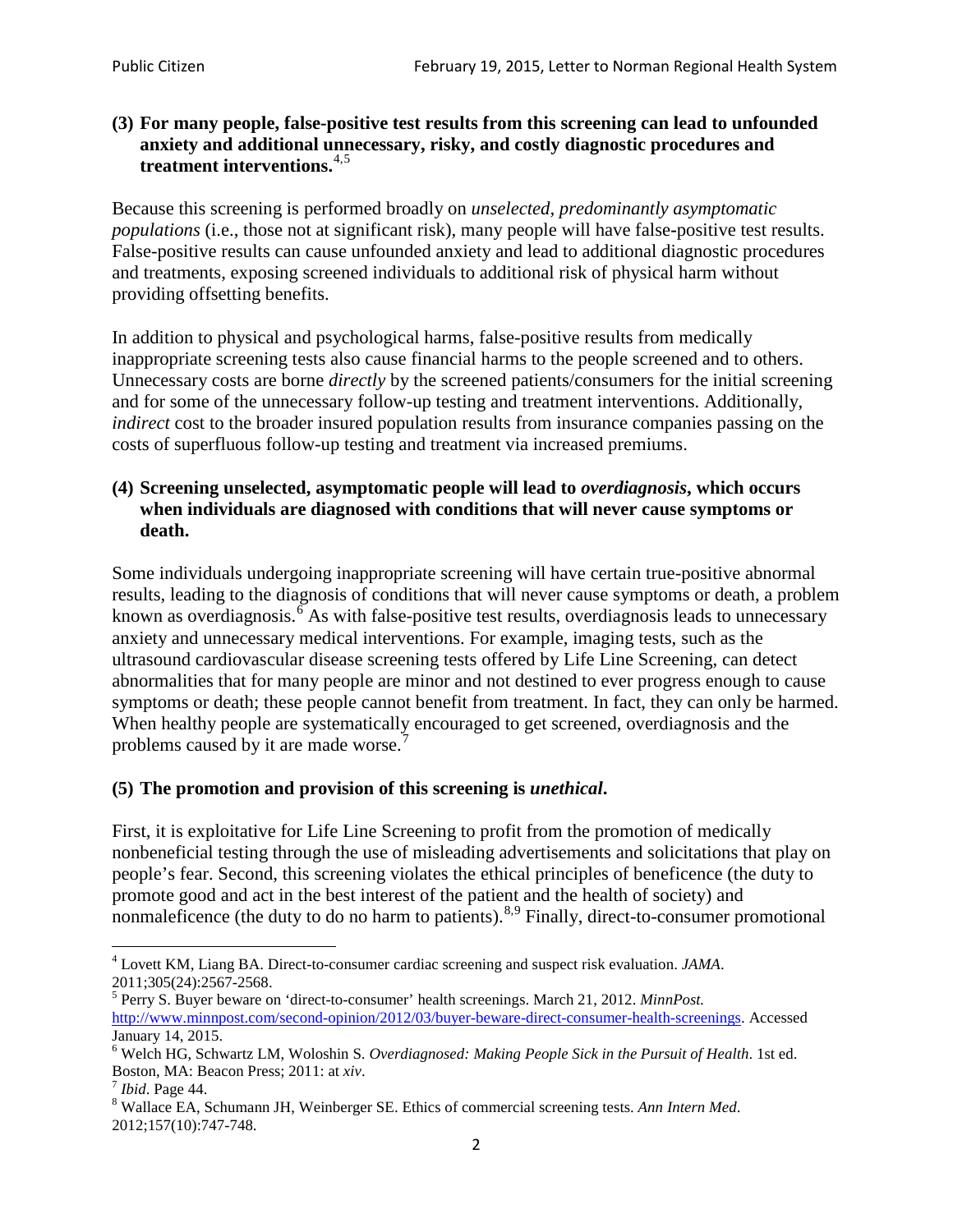## **(3) For many people, false-positive test results from this screening can lead to unfounded anxiety and additional unnecessary, risky, and costly diagnostic procedures and treatment interventions.**[4](#page-1-0),[5](#page-1-1)

Because this screening is performed broadly on *unselected, predominantly asymptomatic populations* (i.e., those not at significant risk), many people will have false**-**positive test results. False-positive results can cause unfounded anxiety and lead to additional diagnostic procedures and treatments, exposing screened individuals to additional risk of physical harm without providing offsetting benefits.

In addition to physical and psychological harms, false-positive results from medically inappropriate screening tests also cause financial harms to the people screened and to others. Unnecessary costs are borne *directly* by the screened patients/consumers for the initial screening and for some of the unnecessary follow-up testing and treatment interventions. Additionally, *indirect* cost to the broader insured population results from insurance companies passing on the costs of superfluous follow-up testing and treatment via increased premiums.

## **(4) Screening unselected, asymptomatic people will lead to** *overdiagnosis***, which occurs when individuals are diagnosed with conditions that will never cause symptoms or death.**

Some individuals undergoing inappropriate screening will have certain true-positive abnormal results, leading to the diagnosis of conditions that will never cause symptoms or death, a problem known as overdiagnosis.<sup>[6](#page-1-2)</sup> As with false-positive test results, overdiagnosis leads to unnecessary anxiety and unnecessary medical interventions. For example, imaging tests, such as the ultrasound cardiovascular disease screening tests offered by Life Line Screening, can detect abnormalities that for many people are minor and not destined to ever progress enough to cause symptoms or death; these people cannot benefit from treatment. In fact, they can only be harmed. When healthy people are systematically encouraged to get screened, overdiagnosis and the problems caused by it are made worse.<sup>[7](#page-1-3)</sup>

# **(5) The promotion and provision of this screening is** *unethical***.**

First, it is exploitative for Life Line Screening to profit from the promotion of medically nonbeneficial testing through the use of misleading advertisements and solicitations that play on people's fear. Second, this screening violates the ethical principles of beneficence (the duty to promote good and act in the best interest of the patient and the health of society) and nonmaleficence (the duty to do no harm to patients).  $8.9$  $8.9$  $8.9$  Finally, direct-to-consumer promotional

<span id="page-1-4"></span>2012;157(10):747-748.

<span id="page-1-5"></span><span id="page-1-0"></span><sup>4</sup> Lovett KM, Liang BA. Direct-to-consumer cardiac screening and suspect risk evaluation. *JAMA*.

<span id="page-1-1"></span><sup>2011;305(24):2567-2568.</sup> <sup>5</sup> Perry S. Buyer beware on 'direct-to-consumer' health screenings. March 21, 2012. *MinnPost.*  [http://www.minnpost.com/second-opinion/2012/03/buyer-beware-direct-consumer-health-screenings.](http://www.minnpost.com/second-opinion/2012/03/buyer-beware-direct-consumer-health-screenings) Accessed January 14, 2015.

<span id="page-1-2"></span><sup>6</sup> Welch HG, Schwartz LM, Woloshin S. *Overdiagnosed: Making People Sick in the Pursuit of Health*. 1st ed. Boston, MA: Beacon Press; 2011: at *xiv*.<br><sup>7</sup> *Ibid*. Page 44.<br><sup>8</sup> Wallace EA, Schumann JH, Weinberger SE. Ethics of commercial screening tests. *Ann Intern Med*.

<span id="page-1-3"></span>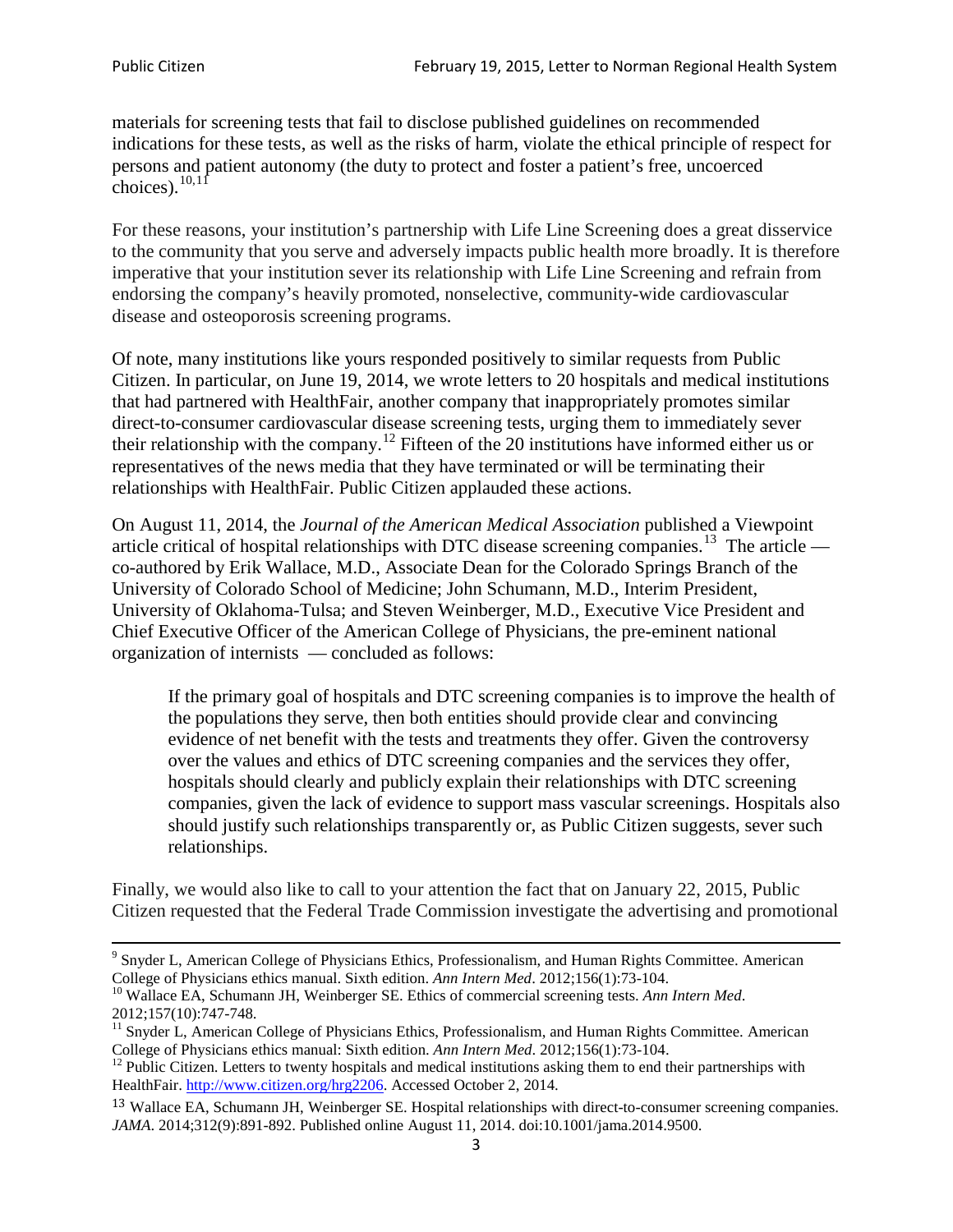materials for screening tests that fail to disclose published guidelines on recommended indications for these tests, as well as the risks of harm, violate the ethical principle of respect for persons and patient autonomy (the duty to protect and foster a patient's free, uncoerced choices). $\frac{10,11}{10,11}$  $\frac{10,11}{10,11}$  $\frac{10,11}{10,11}$  $\frac{10,11}{10,11}$ 

For these reasons, your institution's partnership with Life Line Screening does a great disservice to the community that you serve and adversely impacts public health more broadly. It is therefore imperative that your institution sever its relationship with Life Line Screening and refrain from endorsing the company's heavily promoted, nonselective, community**-**wide cardiovascular disease and osteoporosis screening programs.

Of note, many institutions like yours responded positively to similar requests from Public Citizen. In particular, on June 19, 2014, we wrote letters to 20 hospitals and medical institutions that had partnered with HealthFair, another company that inappropriately promotes similar direct-to-consumer cardiovascular disease screening tests, urging them to immediately sever their relationship with the company. [12](#page-2-2) Fifteen of the 20 institutions have informed either us or representatives of the news media that they have terminated or will be terminating their relationships with HealthFair. Public Citizen applauded these actions.

On August 11, 2014, the *Journal of the American Medical Association* published a Viewpoint article critical of hospital relationships with DTC disease screening companies.<sup>13</sup> The article co-authored by Erik Wallace, M.D., Associate Dean for the Colorado Springs Branch of the University of Colorado School of Medicine; John Schumann, M.D., Interim President, University of Oklahoma-Tulsa; and Steven Weinberger, M.D., Executive Vice President and Chief Executive Officer of the American College of Physicians, the pre**-**eminent national organization of internists — concluded as follows:

If the primary goal of hospitals and DTC screening companies is to improve the health of the populations they serve, then both entities should provide clear and convincing evidence of net benefit with the tests and treatments they offer. Given the controversy over the values and ethics of DTC screening companies and the services they offer, hospitals should clearly and publicly explain their relationships with DTC screening companies, given the lack of evidence to support mass vascular screenings. Hospitals also should justify such relationships transparently or, as Public Citizen suggests, sever such relationships.

Finally, we would also like to call to your attention the fact that on January 22, 2015, Public Citizen requested that the Federal Trade Commission investigate the advertising and promotional

<sup>&</sup>lt;sup>9</sup> Snyder L, American College of Physicians Ethics, Professionalism, and Human Rights Committee. American College of Physicians ethics manual. Sixth edition. Ann Intern Med. 2012;156(1):73-104.

<span id="page-2-0"></span><sup>&</sup>lt;sup>10</sup> Wallace EA, Schumann JH, Weinberger SE. Ethics of commercial screening tests. *Ann Intern Med*. 2012;157(10):747-748.

<span id="page-2-1"></span> $11$  Snyder L, American College of Physicians Ethics, Professionalism, and Human Rights Committee. American College of Physicians ethics manual: Sixth edition. *Ann Intern Med*. 2012;156(1):73-104.<br><sup>12</sup> Public Citizen. Letters to twenty hospitals and medical institutions asking them to end their partnerships with

<span id="page-2-2"></span>HealthFair. [http://www.citizen.org/hrg2206.](http://www.citizen.org/hrg2206) Accessed October 2, 2014.

<span id="page-2-3"></span><sup>13</sup> Wallace EA, Schumann JH, Weinberger SE. Hospital relationships with direct-to-consumer screening companies. *JAMA*. 2014;312(9):891-892. Published online August 11, 2014. doi:10.1001/jama.2014.9500.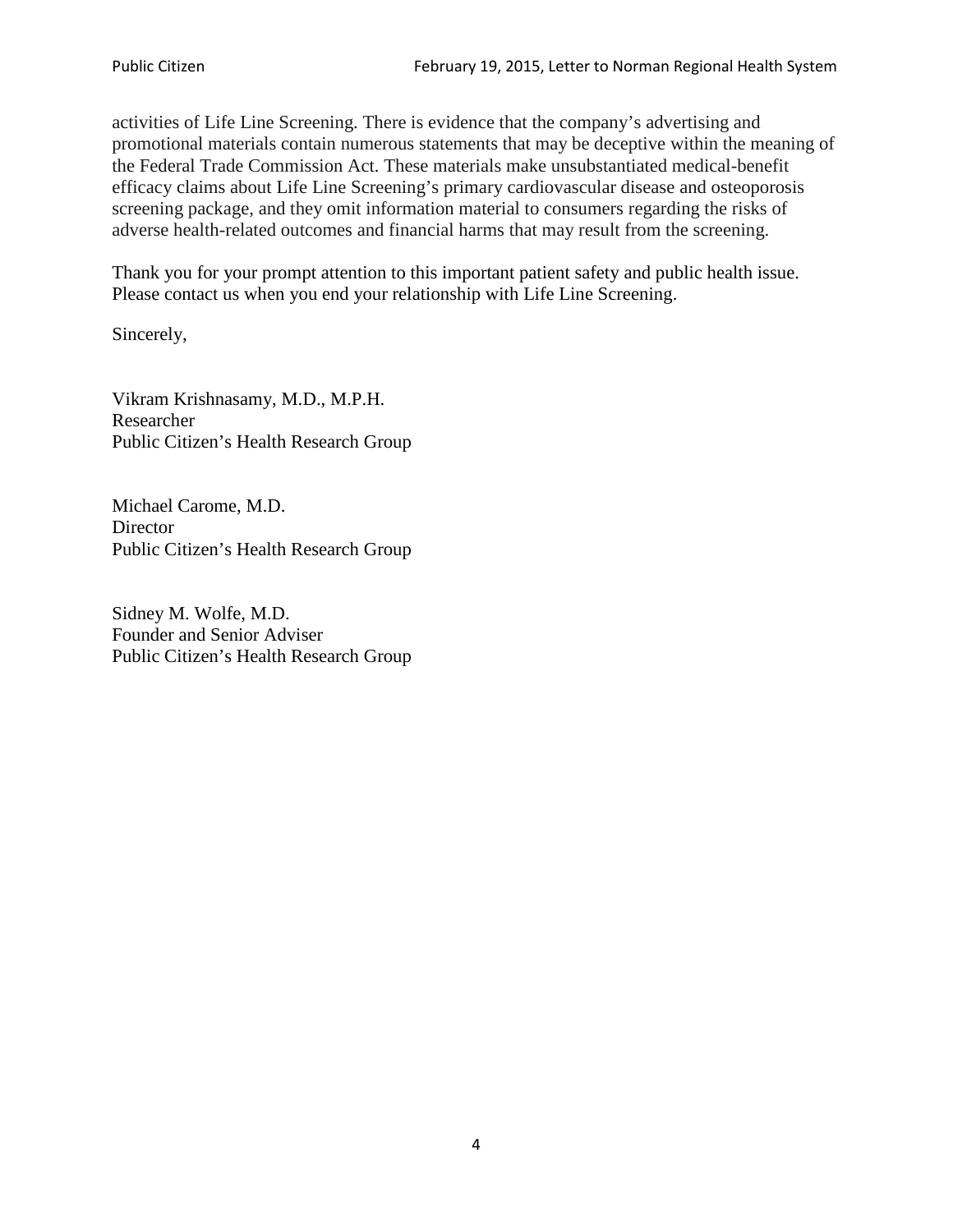activities of Life Line Screening. There is evidence that the company's advertising and promotional materials contain numerous statements that may be deceptive within the meaning of the Federal Trade Commission Act. These materials make unsubstantiated medical-benefit efficacy claims about Life Line Screening's primary cardiovascular disease and osteoporosis screening package, and they omit information material to consumers regarding the risks of adverse health-related outcomes and financial harms that may result from the screening.

Thank you for your prompt attention to this important patient safety and public health issue. Please contact us when you end your relationship with Life Line Screening.

Sincerely,

Vikram Krishnasamy, M.D., M.P.H. Researcher Public Citizen's Health Research Group

Michael Carome, M.D. **Director** Public Citizen's Health Research Group

Sidney M. Wolfe, M.D. Founder and Senior Adviser Public Citizen's Health Research Group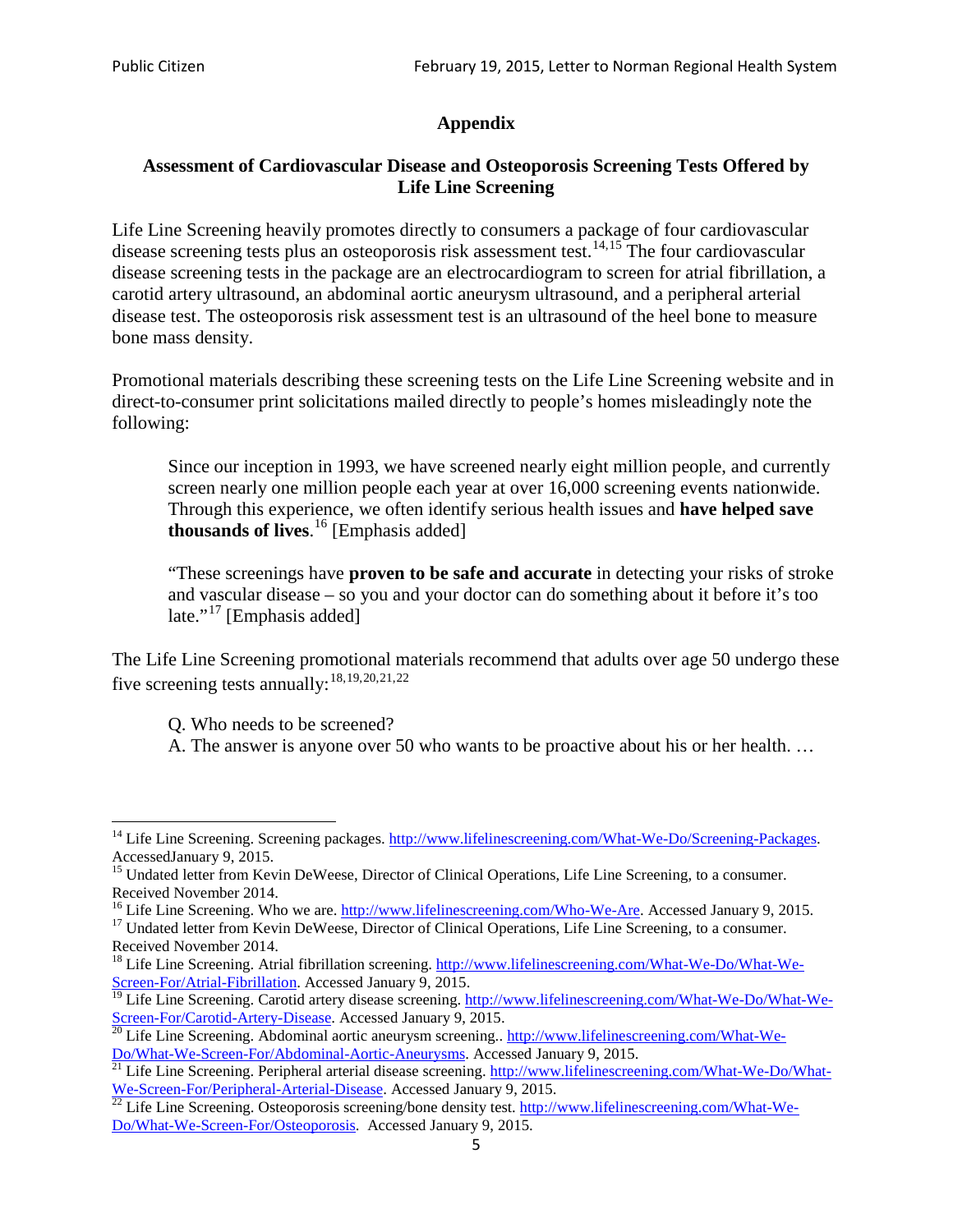# **Appendix**

## **Assessment of Cardiovascular Disease and Osteoporosis Screening Tests Offered by Life Line Screening**

Life Line Screening heavily promotes directly to consumers a package of four cardiovascular disease screening tests plus an osteoporosis risk assessment test.<sup>[14](#page-4-0),[15](#page-4-1)</sup> The four cardiovascular disease screening tests in the package are an electrocardiogram to screen for atrial fibrillation, a carotid artery ultrasound, an abdominal aortic aneurysm ultrasound, and a peripheral arterial disease test. The osteoporosis risk assessment test is an ultrasound of the heel bone to measure bone mass density.

Promotional materials describing these screening tests on the Life Line Screening website and in direct-to-consumer print solicitations mailed directly to people's homes misleadingly note the following:

Since our inception in 1993, we have screened nearly eight million people, and currently screen nearly one million people each year at over 16,000 screening events nationwide. Through this experience, we often identify serious health issues and **have helped save thousands of lives**. [16](#page-4-2) [Emphasis added]

"These screenings have **proven to be safe and accurate** in detecting your risks of stroke and vascular disease – so you and your doctor can do something about it before it's too late."<sup>[17](#page-4-3)</sup> [Emphasis added]

The Life Line Screening promotional materials recommend that adults over age 50 undergo these five screening tests annually:<sup>[18](#page-4-4),[19,](#page-4-5)[20,](#page-4-6)[21](#page-4-7),[22](#page-4-8)</sup>

Q. Who needs to be screened?

A. The answer is anyone over 50 who wants to be proactive about his or her health. …

<span id="page-4-0"></span><sup>&</sup>lt;sup>14</sup> Life Line Screening. Screening packages. [http://www.lifelinescreening.com/What-We-Do/Screening-Packages.](http://www.lifelinescreening.com/What-We-Do/Screening-Packages) AccessedJanuary 9, 2015.

<span id="page-4-1"></span><sup>&</sup>lt;sup>15</sup> Undated letter from Kevin DeWeese, Director of Clinical Operations, Life Line Screening, to a consumer.

Received November 2014.<br><sup>16</sup> Life Line Screening. Who we are. http://www.lifelinescreening.com/Who-We-Are. Accessed January 9, 2015.

<span id="page-4-3"></span><span id="page-4-2"></span><sup>&</sup>lt;sup>17</sup> Undated letter from Kevin DeWeese, Director of Clinical Operations, Life Line Screening, to a consumer. Received November 2014.

<span id="page-4-4"></span><sup>&</sup>lt;sup>18</sup> Life Line Screening. Atrial fibrillation screening. [http://www.lifelinescreening.com/What-We-Do/What-We-](http://www.lifelinescreening.com/What-We-Do/What-We-Screen-For/Atrial-Fibrillation)[Screen-For/Atrial-Fibrillation.](http://www.lifelinescreening.com/What-We-Do/What-We-Screen-For/Atrial-Fibrillation) Accessed January 9, 2015.

<sup>&</sup>lt;sup>19</sup> Life Line Screening. Carotid artery disease screening. [http://www.lifelinescreening.com/What-We-Do/What-We-](http://www.lifelinescreening.com/What-We-Do/What-We-Screen-For/Carotid-Artery-Disease)

<span id="page-4-6"></span><span id="page-4-5"></span>[Screen-For/Carotid-Artery-Disease.](http://www.lifelinescreening.com/What-We-Do/What-We-Screen-For/Carotid-Artery-Disease) Accessed January 9, 2015.<br><sup>20</sup> Life Line Screening. Abdominal aortic aneurysm screening.. http://www.lifelinescreening.com/What-We-Do/What-We-Do/What-We-Screen-For/Abdominal-Aortic-Aneury

<span id="page-4-7"></span><sup>&</sup>lt;sup>21</sup> Life Line Screening. Peripheral arterial disease screening. [http://www.lifelinescreening.com/What-We-Do/What-](http://www.lifelinescreening.com/What-We-Do/What-We-Screen-For/Peripheral-Arterial-Disease)

<span id="page-4-8"></span>[We-Screen-For/Peripheral-Arterial-Disease.](http://www.lifelinescreening.com/What-We-Do/What-We-Screen-For/Peripheral-Arterial-Disease) Accessed January 9, 2015.<br><sup>22</sup> Life Line Screening. Osteoporosis screening/bone density test. [http://www.lifelinescreening.com/What-We-](http://www.lifelinescreening.com/What-We-Do/What-We-Screen-For/Osteoporosis)[Do/What-We-Screen-For/Osteoporosis.](http://www.lifelinescreening.com/What-We-Do/What-We-Screen-For/Osteoporosis) Accessed January 9, 2015.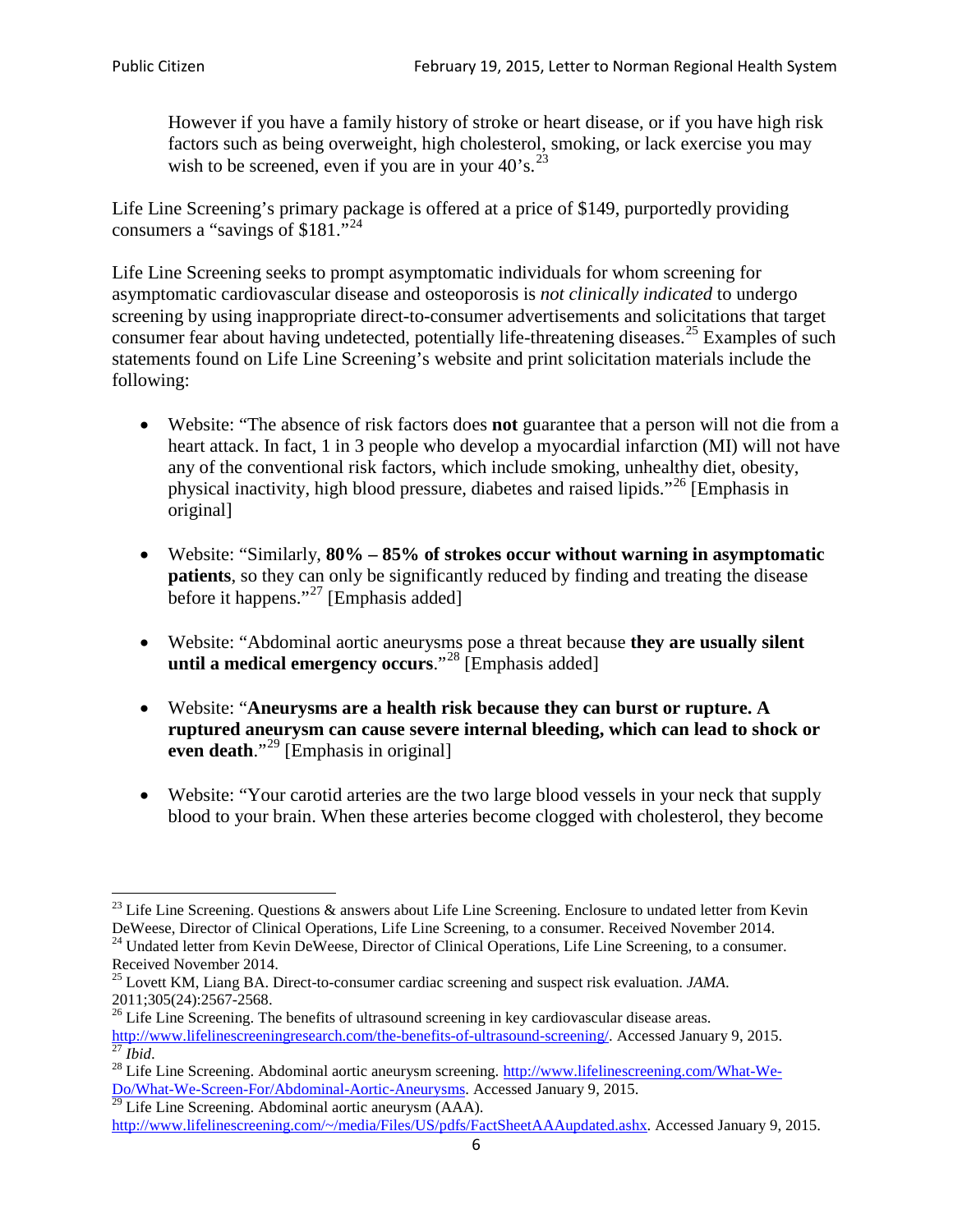However if you have a family history of stroke or heart disease, or if you have high risk factors such as being overweight, high cholesterol, smoking, or lack exercise you may wish to be screened, even if you are in your  $40^{\circ}$ s.<sup>[23](#page-5-0)</sup>

Life Line Screening's primary package is offered at a price of \$149, purportedly providing consumers a "savings of \$181."<sup>[24](#page-5-1)</sup>

Life Line Screening seeks to prompt asymptomatic individuals for whom screening for asymptomatic cardiovascular disease and osteoporosis is *not clinically indicated* to undergo screening by using inappropriate direct-to-consumer advertisements and solicitations that target consumer fear about having undetected, potentially life-threatening diseases.<sup>[25](#page-5-2)</sup> Examples of such statements found on Life Line Screening's website and print solicitation materials include the following:

- Website: "The absence of risk factors does **not** guarantee that a person will not die from a heart attack. In fact, 1 in 3 people who develop a myocardial infarction (MI) will not have any of the conventional risk factors, which include smoking, unhealthy diet, obesity, physical inactivity, high blood pressure, diabetes and raised lipids."[26](#page-5-3) [Emphasis in original]
- Website: "Similarly, **80% – 85% of strokes occur without warning in asymptomatic patients**, so they can only be significantly reduced by finding and treating the disease before it happens."<sup>[27](#page-5-4)</sup> [Emphasis added]
- Website: "Abdominal aortic aneurysms pose a threat because **they are usually silent until a medical emergency occurs**."[28](#page-5-5) [Emphasis added]
- Website: "**Aneurysms are a health risk because they can burst or rupture. A ruptured aneurysm can cause severe internal bleeding, which can lead to shock or even death.**"<sup>[29](#page-5-6)</sup> [Emphasis in original]
- Website: "Your carotid arteries are the two large blood vessels in your neck that supply blood to your brain. When these arteries become clogged with cholesterol, they become

<span id="page-5-0"></span><sup>&</sup>lt;sup>23</sup> Life Line Screening. Questions  $\&$  answers about Life Line Screening. Enclosure to undated letter from Kevin DeWeese, Director of Clinical Operations, Life Line Screening, to a consumer. Received November 2014.

<span id="page-5-1"></span><sup>&</sup>lt;sup>24</sup> Undated letter from Kevin DeWeese, Director of Clinical Operations, Life Line Screening, to a consumer. Received November 2014.

<span id="page-5-2"></span><sup>25</sup> Lovett KM, Liang BA. Direct-to-consumer cardiac screening and suspect risk evaluation. *JAMA*.  $2011;305(24):2567-2568$ .<br><sup>26</sup> Life Line Screening. The benefits of ultrasound screening in key cardiovascular disease areas.

<span id="page-5-3"></span>[http://www.lifelinescreeningresearch.com/the-benefits-of-ultrasound-screening/.](http://www.lifelinescreeningresearch.com/the-benefits-of-ultrasound-screening/) Accessed January 9, 2015.<br><sup>28</sup> Life Line Screening. Abdominal aortic aneurysm screening. http://www.lifelinescreening.com/What-We-<br><sup>28</sup> Life L

<span id="page-5-5"></span><span id="page-5-4"></span>[Do/What-We-Screen-For/Abdominal-Aortic-Aneurysms.](http://www.lifelinescreening.com/What-We-Do/What-We-Screen-For/Abdominal-Aortic-Aneurysms) Accessed January 9, 2015. <sup>29</sup> Life Line Screening. Abdominal aortic aneurysm (AAA).

<span id="page-5-6"></span>[http://www.lifelinescreening.com/~/media/Files/US/pdfs/FactSheetAAAupdated.ashx.](http://www.lifelinescreening.com/~/media/Files/US/pdfs/FactSheetAAAupdated.ashx) Accessed January 9, 2015.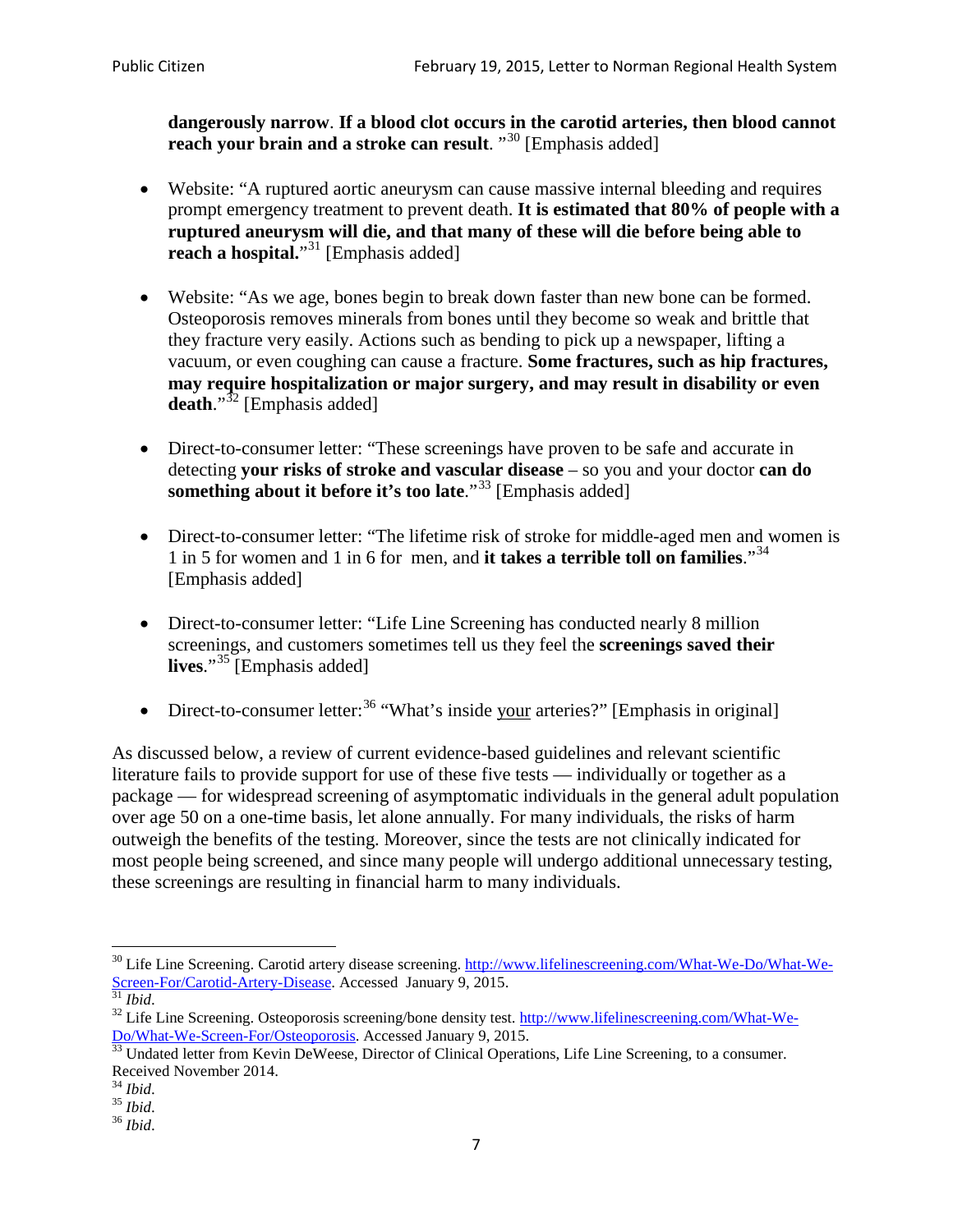**dangerously narrow**. **If a blood clot occurs in the carotid arteries, then blood cannot reach your brain and a stroke can result**. "<sup>[30](#page-6-0)</sup> [Emphasis added]

- Website: "A ruptured aortic aneurysm can cause massive internal bleeding and requires prompt emergency treatment to prevent death. **It is estimated that 80% of people with a ruptured aneurysm will die, and that many of these will die before being able to reach a hospital.**"<sup>[31](#page-6-1)</sup> [Emphasis added]
- Website: "As we age, bones begin to break down faster than new bone can be formed. Osteoporosis removes minerals from bones until they become so weak and brittle that they fracture very easily. Actions such as bending to pick up a newspaper, lifting a vacuum, or even coughing can cause a fracture. **Some fractures, such as hip fractures, may require hospitalization or major surgery, and may result in disability or even**  death."<sup>[32](#page-6-2)</sup> [Emphasis added]
- Direct-to-consumer letter: "These screenings have proven to be safe and accurate in detecting **your risks of stroke and vascular disease** – so you and your doctor **can do something about it before it's too late.**"<sup>[33](#page-6-3)</sup> [Emphasis added]
- Direct-to-consumer letter: "The lifetime risk of stroke for middle-aged men and women is 1 in 5 for women and 1 in 6 for men, and **it takes a terrible toll on families**."[34](#page-6-4) [Emphasis added]
- Direct-to-consumer letter: "Life Line Screening has conducted nearly 8 million screenings, and customers sometimes tell us they feel the **screenings saved their lives**."[35](#page-6-5) [Emphasis added]
- Direct-to-consumer letter:  $36$  "What's inside your arteries?" [Emphasis in original]

As discussed below, a review of current evidence-based guidelines and relevant scientific literature fails to provide support for use of these five tests — individually or together as a package — for widespread screening of asymptomatic individuals in the general adult population over age 50 on a one-time basis, let alone annually. For many individuals, the risks of harm outweigh the benefits of the testing. Moreover, since the tests are not clinically indicated for most people being screened, and since many people will undergo additional unnecessary testing, these screenings are resulting in financial harm to many individuals.

<span id="page-6-0"></span><sup>&</sup>lt;sup>30</sup> Life Line Screening. Carotid artery disease screening. [http://www.lifelinescreening.com/What-We-Do/What-We-](http://www.lifelinescreening.com/What-We-Do/What-We-Screen-For/Carotid-Artery-Disease)[Screen-For/Carotid-Artery-Disease.](http://www.lifelinescreening.com/What-We-Do/What-We-Screen-For/Carotid-Artery-Disease) Accessed January 9, 2015.<br><sup>31</sup> *Ibid.* 32 Life Line Screening. Osteoporosis screening/bone density test. [http://www.lifelinescreening.com/What-We-](http://www.lifelinescreening.com/What-We-Do/What-We-Screen-For/Osteoporosis)

<span id="page-6-2"></span><span id="page-6-1"></span>[Do/What-We-Screen-For/Osteoporosis.](http://www.lifelinescreening.com/What-We-Do/What-We-Screen-For/Osteoporosis) Accessed January 9, 2015. <sup>33</sup> Undated letter from Kevin DeWeese, Director of Clinical Operations, Life Line Screening, to a consumer.

<span id="page-6-3"></span>Received November 2014.<br><sup>34</sup> Ibid.

<span id="page-6-4"></span>

<span id="page-6-5"></span><sup>34</sup> *Ibid*. 35 *Ibid*. 36 *Ibid*.

<span id="page-6-6"></span>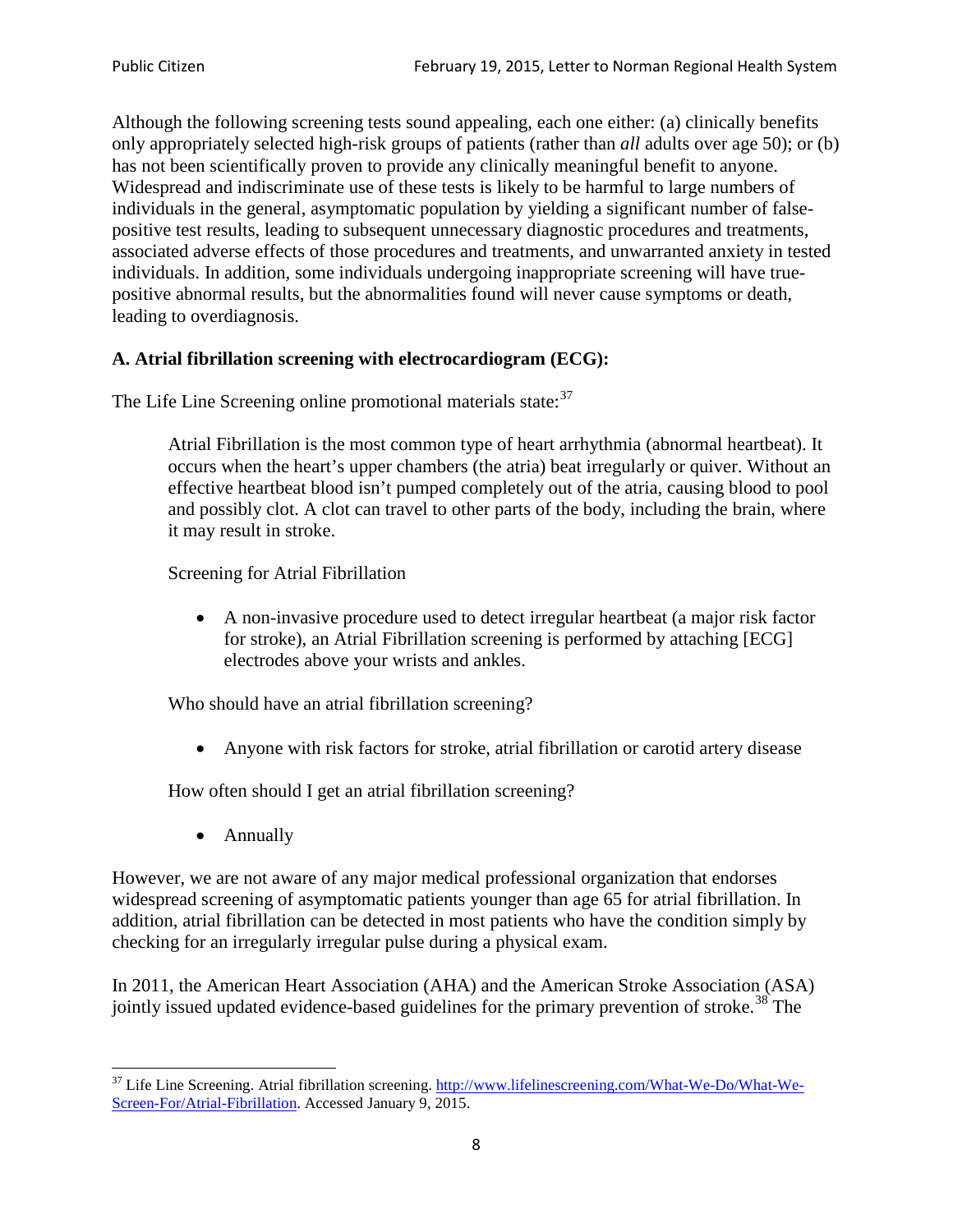Although the following screening tests sound appealing, each one either: (a) clinically benefits only appropriately selected high-risk groups of patients (rather than *all* adults over age 50); or (b) has not been scientifically proven to provide any clinically meaningful benefit to anyone. Widespread and indiscriminate use of these tests is likely to be harmful to large numbers of individuals in the general, asymptomatic population by yielding a significant number of falsepositive test results, leading to subsequent unnecessary diagnostic procedures and treatments, associated adverse effects of those procedures and treatments, and unwarranted anxiety in tested individuals. In addition, some individuals undergoing inappropriate screening will have truepositive abnormal results, but the abnormalities found will never cause symptoms or death, leading to overdiagnosis.

# **A. Atrial fibrillation screening with electrocardiogram (ECG):**

The Life Line Screening online promotional materials state:<sup>[37](#page-7-0)</sup>

Atrial Fibrillation is the most common type of heart arrhythmia (abnormal heartbeat). It occurs when the heart's upper chambers (the atria) beat irregularly or quiver. Without an effective heartbeat blood isn't pumped completely out of the atria, causing blood to pool and possibly clot. A clot can travel to other parts of the body, including the brain, where it may result in stroke.

Screening for Atrial Fibrillation

• A non-invasive procedure used to detect irregular heartbeat (a major risk factor for stroke), an Atrial Fibrillation screening is performed by attaching [ECG] electrodes above your wrists and ankles.

Who should have an atrial fibrillation screening?

• Anyone with risk factors for stroke, atrial fibrillation or carotid artery disease

How often should I get an atrial fibrillation screening?

• Annually

<span id="page-7-1"></span>However, we are not aware of any major medical professional organization that endorses widespread screening of asymptomatic patients younger than age 65 for atrial fibrillation. In addition, atrial fibrillation can be detected in most patients who have the condition simply by checking for an irregularly irregular pulse during a physical exam.

In 2011, the American Heart Association (AHA) and the American Stroke Association (ASA) jointly issued updated evidence-based guidelines for the primary prevention of stroke.<sup>[38](#page-7-1)</sup> The

<span id="page-7-0"></span><sup>&</sup>lt;sup>37</sup> Life Line Screening. Atrial fibrillation screening. [http://www.lifelinescreening.com/What-We-Do/What-We-](http://www.lifelinescreening.com/What-We-Do/What-We-Screen-For/Atrial-Fibrillation)[Screen-For/Atrial-Fibrillation.](http://www.lifelinescreening.com/What-We-Do/What-We-Screen-For/Atrial-Fibrillation) Accessed January 9, 2015.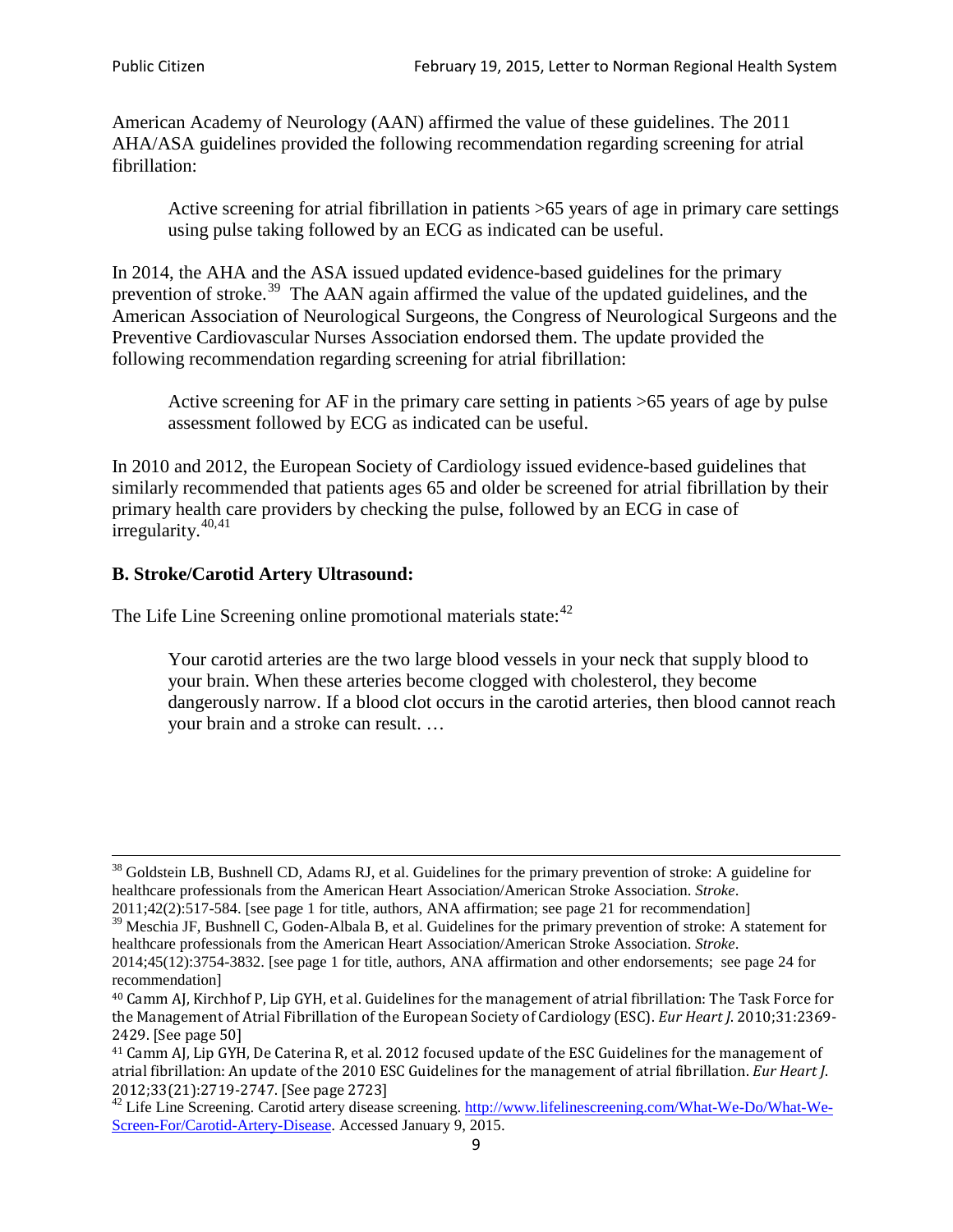American Academy of Neurology (AAN) affirmed the value of these guidelines. The 2011 AHA/ASA guidelines provided the following recommendation regarding screening for atrial fibrillation:

Active screening for atrial fibrillation in patients >65 years of age in primary care settings using pulse taking followed by an ECG as indicated can be useful.

In 2014, the AHA and the ASA issued updated evidence-based guidelines for the primary prevention of stroke.<sup>[39](#page-8-0)</sup> The AAN again affirmed the value of the updated guidelines, and the American Association of Neurological Surgeons, the Congress of Neurological Surgeons and the Preventive Cardiovascular Nurses Association endorsed them. The update provided the following recommendation regarding screening for atrial fibrillation:

Active screening for AF in the primary care setting in patients >65 years of age by pulse assessment followed by ECG as indicated can be useful.

In 2010 and 2012, the European Society of Cardiology issued evidence-based guidelines that similarly recommended that patients ages 65 and older be screened for atrial fibrillation by their primary health care providers by checking the pulse, followed by an ECG in case of irregularity. $40,41$  $40,41$ 

# **B. Stroke/Carotid Artery Ultrasound:**

The Life Line Screening online promotional materials state:<sup>[42](#page-8-3)</sup>

Your carotid arteries are the two large blood vessels in your neck that supply blood to your brain. When these arteries become clogged with cholesterol, they become dangerously narrow. If a blood clot occurs in the carotid arteries, then blood cannot reach your brain and a stroke can result. …

<sup>&</sup>lt;sup>38</sup> Goldstein LB, Bushnell CD, Adams RJ, et al. Guidelines for the primary prevention of stroke: A guideline for healthcare professionals from the American Heart Association/American Stroke Association. *Stroke*.

<sup>2011;42(2):517-584.</sup> [see page 1 for title, authors, ANA affirmation; see page 21 for recommendation]

<span id="page-8-0"></span> $\frac{2011,42(2)(317,601)}{39}$  Meschia JF, Bushnell C, Goden-Albala B, et al. Guidelines for the primary prevention of stroke: A statement for healthcare professionals from the American Heart Association/American Stroke Association. *Stroke*.

<sup>2014;45(12):3754-3832.</sup> [see page 1 for title, authors, ANA affirmation and other endorsements; see page 24 for recommendation]

<span id="page-8-1"></span><sup>40</sup> Camm AJ, Kirchhof P, Lip GYH, et al. Guidelines for the management of atrial fibrillation: The Task Force for the Management of Atrial Fibrillation of the European Society of Cardiology (ESC). *Eur Heart J*. 2010;31:2369- 2429. [See page 50]

<span id="page-8-2"></span><sup>41</sup> Camm AJ, Lip GYH, De Caterina R, et al. 2012 focused update of the ESC Guidelines for the management of atrial fibrillation: An update of the 2010 ESC Guidelines for the management of atrial fibrillation. *Eur Heart J*.

<span id="page-8-3"></span><sup>&</sup>lt;sup>2012</sup>;23(21):2719-2747. [See page 2733] 42 Life Line Screening. [http://www.lifelinescreening.com/What-We-Do/What-We-](http://www.lifelinescreening.com/What-We-Do/What-We-Screen-For/Carotid-Artery-Disease)[Screen-For/Carotid-Artery-Disease.](http://www.lifelinescreening.com/What-We-Do/What-We-Screen-For/Carotid-Artery-Disease) Accessed January 9, 2015.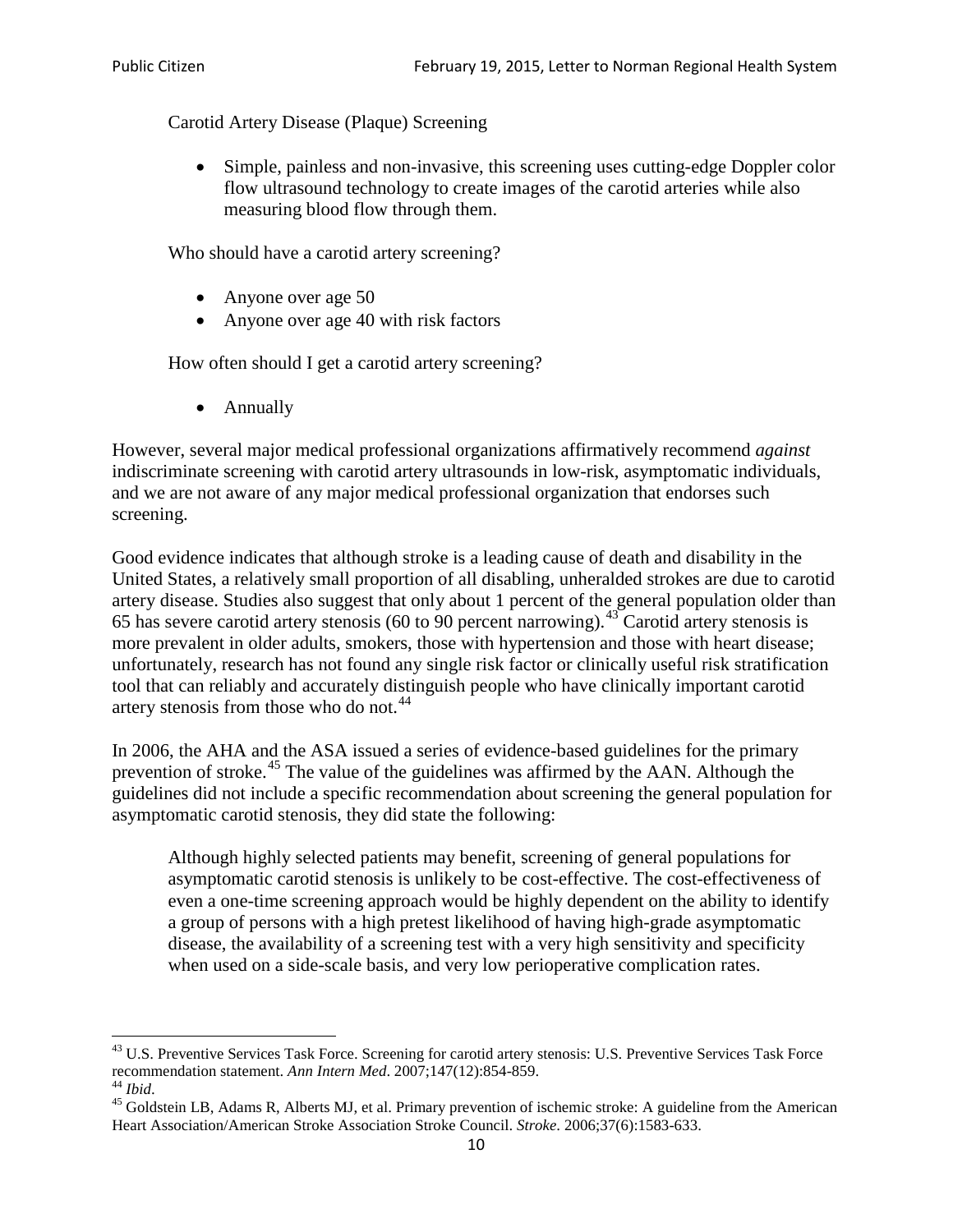Carotid Artery Disease (Plaque) Screening

• Simple, painless and non-invasive, this screening uses cutting-edge Doppler color flow ultrasound technology to create images of the carotid arteries while also measuring blood flow through them.

Who should have a carotid artery screening?

- Anyone over age 50
- Anyone over age 40 with risk factors

How often should I get a carotid artery screening?

• Annually

However, several major medical professional organizations affirmatively recommend *against* indiscriminate screening with carotid artery ultrasounds in low-risk, asymptomatic individuals, and we are not aware of any major medical professional organization that endorses such screening.

Good evidence indicates that although stroke is a leading cause of death and disability in the United States, a relatively small proportion of all disabling, unheralded strokes are due to carotid artery disease. Studies also suggest that only about 1 percent of the general population older than 65 has severe carotid artery stenosis (60 to 90 percent narrowing).<sup>[43](#page-9-0)</sup> Carotid artery stenosis is more prevalent in older adults, smokers, those with hypertension and those with heart disease; unfortunately, research has not found any single risk factor or clinically useful risk stratification tool that can reliably and accurately distinguish people who have clinically important carotid artery stenosis from those who do not.<sup>[44](#page-9-1)</sup>

In 2006, the AHA and the ASA issued a series of evidence-based guidelines for the primary prevention of stroke.<sup>[45](#page-9-2)</sup> The value of the guidelines was affirmed by the AAN. Although the guidelines did not include a specific recommendation about screening the general population for asymptomatic carotid stenosis, they did state the following:

Although highly selected patients may benefit, screening of general populations for asymptomatic carotid stenosis is unlikely to be cost-effective. The cost-effectiveness of even a one-time screening approach would be highly dependent on the ability to identify a group of persons with a high pretest likelihood of having high-grade asymptomatic disease, the availability of a screening test with a very high sensitivity and specificity when used on a side-scale basis, and very low perioperative complication rates.

<span id="page-9-0"></span> $^{43}$  U.S. Preventive Services Task Force. Screening for carotid artery stenosis: U.S. Preventive Services Task Force recommendation statement. Ann Intern Med. 2007;147(12):854-859.

<span id="page-9-2"></span>

<span id="page-9-1"></span><sup>&</sup>lt;sup>44</sup> *Ibid*. <sup>45</sup> Goldstein LB, Adams R, Alberts MJ, et al. Primary prevention of ischemic stroke: A guideline from the American <sup>45</sup> Goldstein LB, Adams R, Alberts MJ, et al. Primary prevention of ischemic stroke: A guide Heart Association/American Stroke Association Stroke Council. *Stroke*. 2006;37(6):1583-633.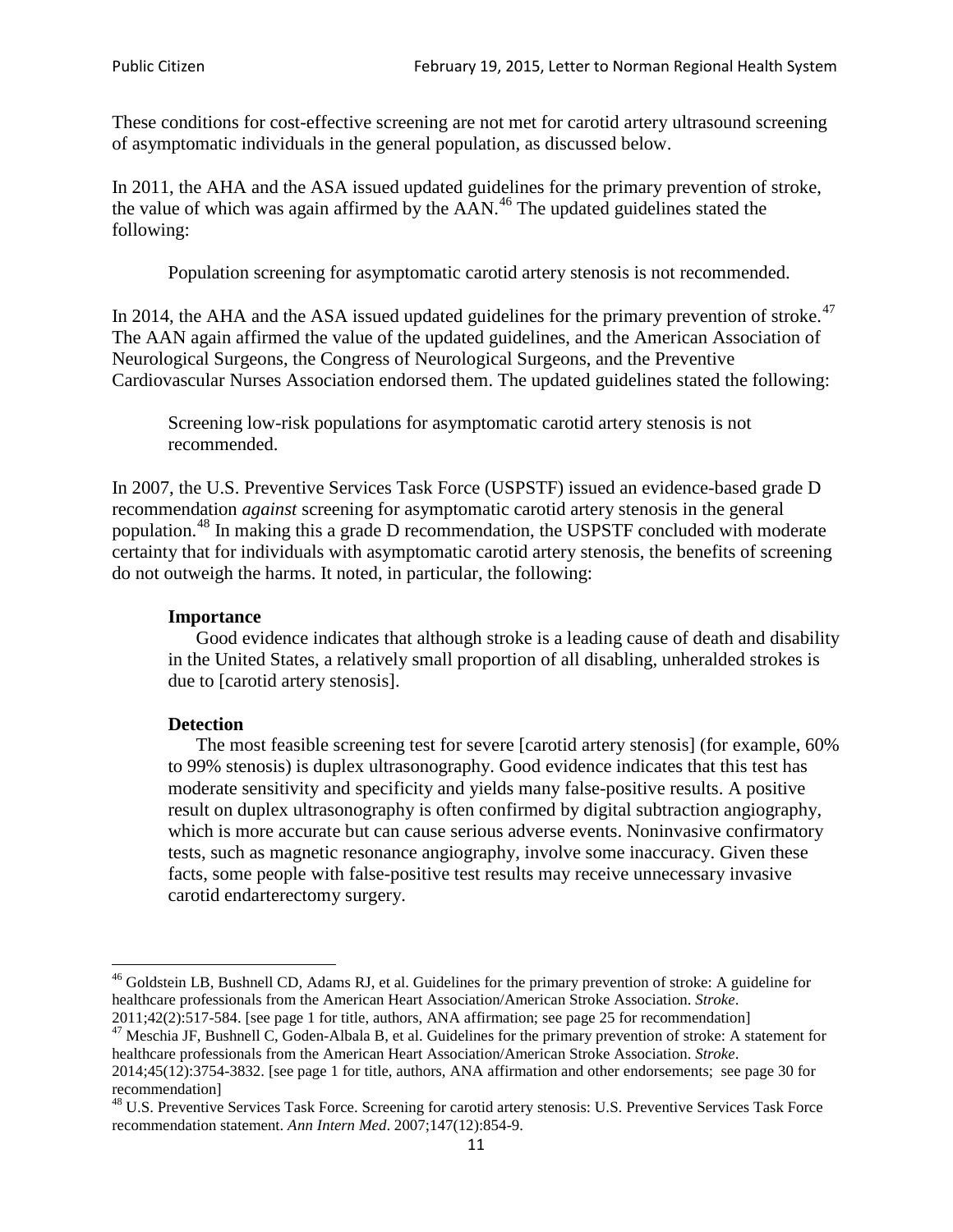These conditions for cost-effective screening are not met for carotid artery ultrasound screening of asymptomatic individuals in the general population, as discussed below.

In 2011, the AHA and the ASA issued updated guidelines for the primary prevention of stroke, the value of which was again affirmed by the  $AAN<sup>46</sup>$  $AAN<sup>46</sup>$  $AAN<sup>46</sup>$ . The updated guidelines stated the following:

Population screening for asymptomatic carotid artery stenosis is not recommended.

In 2014, the AHA and the ASA issued updated guidelines for the primary prevention of stroke.<sup>47</sup> The AAN again affirmed the value of the updated guidelines, and the American Association of Neurological Surgeons, the Congress of Neurological Surgeons, and the Preventive Cardiovascular Nurses Association endorsed them. The updated guidelines stated the following:

Screening low-risk populations for asymptomatic carotid artery stenosis is not recommended.

In 2007, the U.S. Preventive Services Task Force (USPSTF) issued an evidence-based grade D recommendation *against* screening for asymptomatic carotid artery stenosis in the general population.[48](#page-10-2) In making this a grade D recommendation, the USPSTF concluded with moderate certainty that for individuals with asymptomatic carotid artery stenosis, the benefits of screening do not outweigh the harms. It noted, in particular, the following:

#### **Importance**

Good evidence indicates that although stroke is a leading cause of death and disability in the United States, a relatively small proportion of all disabling, unheralded strokes is due to [carotid artery stenosis].

#### **Detection**

The most feasible screening test for severe [carotid artery stenosis] (for example, 60% to 99% stenosis) is duplex ultrasonography. Good evidence indicates that this test has moderate sensitivity and specificity and yields many false-positive results. A positive result on duplex ultrasonography is often confirmed by digital subtraction angiography, which is more accurate but can cause serious adverse events. Noninvasive confirmatory tests, such as magnetic resonance angiography, involve some inaccuracy. Given these facts, some people with false-positive test results may receive unnecessary invasive carotid endarterectomy surgery.

<span id="page-10-0"></span><sup>&</sup>lt;sup>46</sup> Goldstein LB, Bushnell CD, Adams RJ, et al. Guidelines for the primary prevention of stroke: A guideline for healthcare professionals from the American Heart Association/American Stroke Association. *Stroke*.<br>2011;42(2):517-584. [see page 1 for title, authors, ANA affirmation; see page 25 for recommendation]

<span id="page-10-1"></span><sup>&</sup>lt;sup>47</sup> Meschia JF, Bushnell C, Goden-Albala B, et al. Guidelines for the primary prevention of stroke: A statement for healthcare professionals from the American Heart Association/American Stroke Association. *Stroke*. 2014;45(12):3754-3832. [see page 1 for title, authors, ANA affirmation and other endorsements; see page 30 for

recommendation]

<span id="page-10-2"></span><sup>&</sup>lt;sup>48</sup> U.S. Preventive Services Task Force. Screening for carotid artery stenosis: U.S. Preventive Services Task Force recommendation statement. *Ann Intern Med*. 2007;147(12):854-9.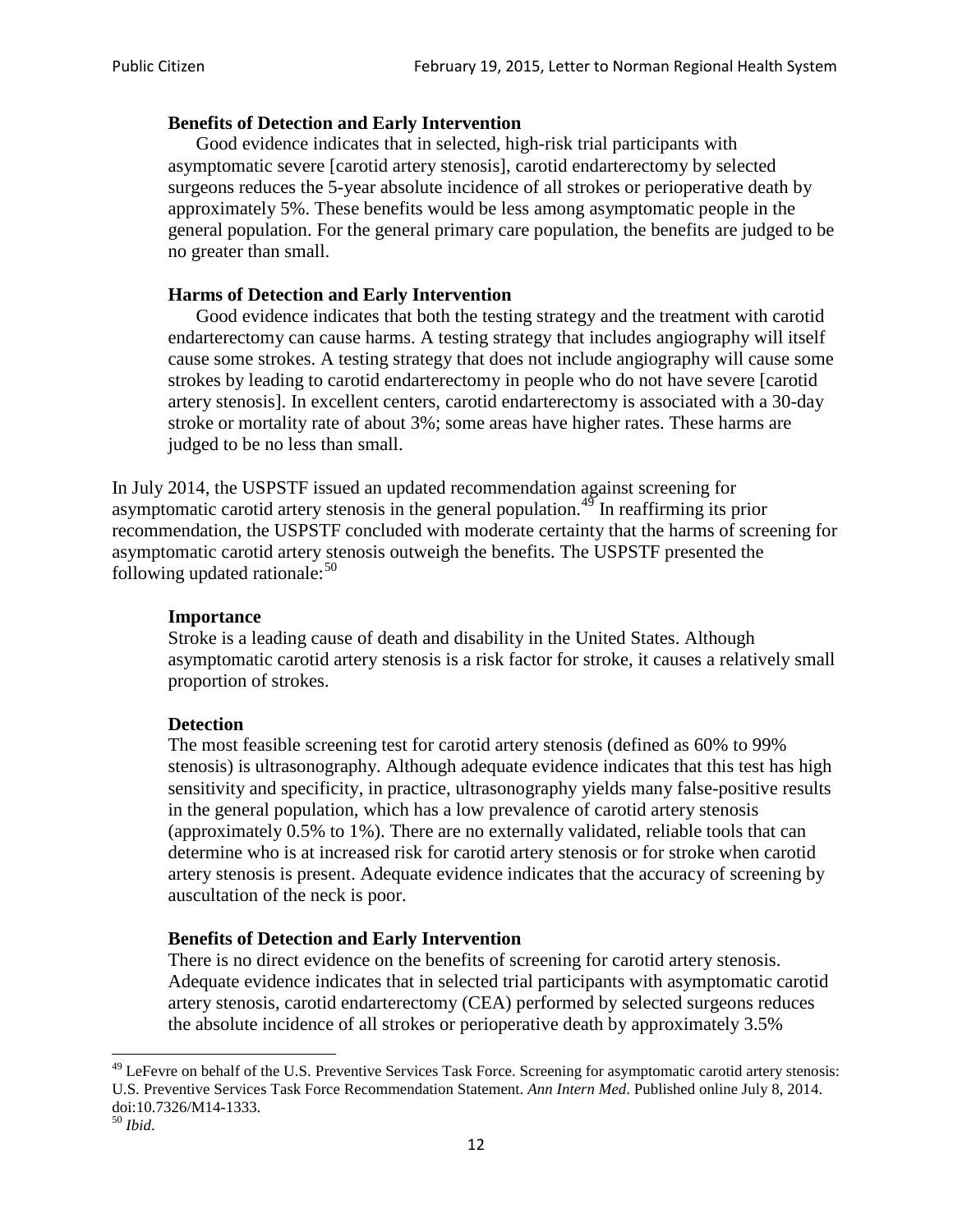### **Benefits of Detection and Early Intervention**

Good evidence indicates that in selected, high-risk trial participants with asymptomatic severe [carotid artery stenosis], carotid endarterectomy by selected surgeons reduces the 5-year absolute incidence of all strokes or perioperative death by approximately 5%. These benefits would be less among asymptomatic people in the general population. For the general primary care population, the benefits are judged to be no greater than small.

## **Harms of Detection and Early Intervention**

Good evidence indicates that both the testing strategy and the treatment with carotid endarterectomy can cause harms. A testing strategy that includes angiography will itself cause some strokes. A testing strategy that does not include angiography will cause some strokes by leading to carotid endarterectomy in people who do not have severe [carotid artery stenosis]. In excellent centers, carotid endarterectomy is associated with a 30-day stroke or mortality rate of about 3%; some areas have higher rates. These harms are judged to be no less than small.

In July 2014, the USPSTF issued an updated recommendation against screening for asymptomatic carotid artery stenosis in the general population.<sup>[49](#page-11-0)</sup> In reaffirming its prior recommendation, the USPSTF concluded with moderate certainty that the harms of screening for asymptomatic carotid artery stenosis outweigh the benefits. The USPSTF presented the following updated rationale: $50$ 

#### **Importance**

Stroke is a leading cause of death and disability in the United States. Although asymptomatic carotid artery stenosis is a risk factor for stroke, it causes a relatively small proportion of strokes.

#### **Detection**

The most feasible screening test for carotid artery stenosis (defined as 60% to 99% stenosis) is ultrasonography. Although adequate evidence indicates that this test has high sensitivity and specificity, in practice, ultrasonography yields many false-positive results in the general population, which has a low prevalence of carotid artery stenosis (approximately 0.5% to 1%). There are no externally validated, reliable tools that can determine who is at increased risk for carotid artery stenosis or for stroke when carotid artery stenosis is present. Adequate evidence indicates that the accuracy of screening by auscultation of the neck is poor.

# **Benefits of Detection and Early Intervention**

There is no direct evidence on the benefits of screening for carotid artery stenosis. Adequate evidence indicates that in selected trial participants with asymptomatic carotid artery stenosis, carotid endarterectomy (CEA) performed by selected surgeons reduces the absolute incidence of all strokes or perioperative death by approximately 3.5%

<span id="page-11-0"></span><sup>&</sup>lt;sup>49</sup> LeFevre on behalf of the U.S. Preventive Services Task Force. Screening for asymptomatic carotid artery stenosis: U.S. Preventive Services Task Force Recommendation Statement. *Ann Intern Med*. Published online July 8, 2014. doi:10.7326/M14-1333. <sup>50</sup> *Ibid*.

<span id="page-11-1"></span>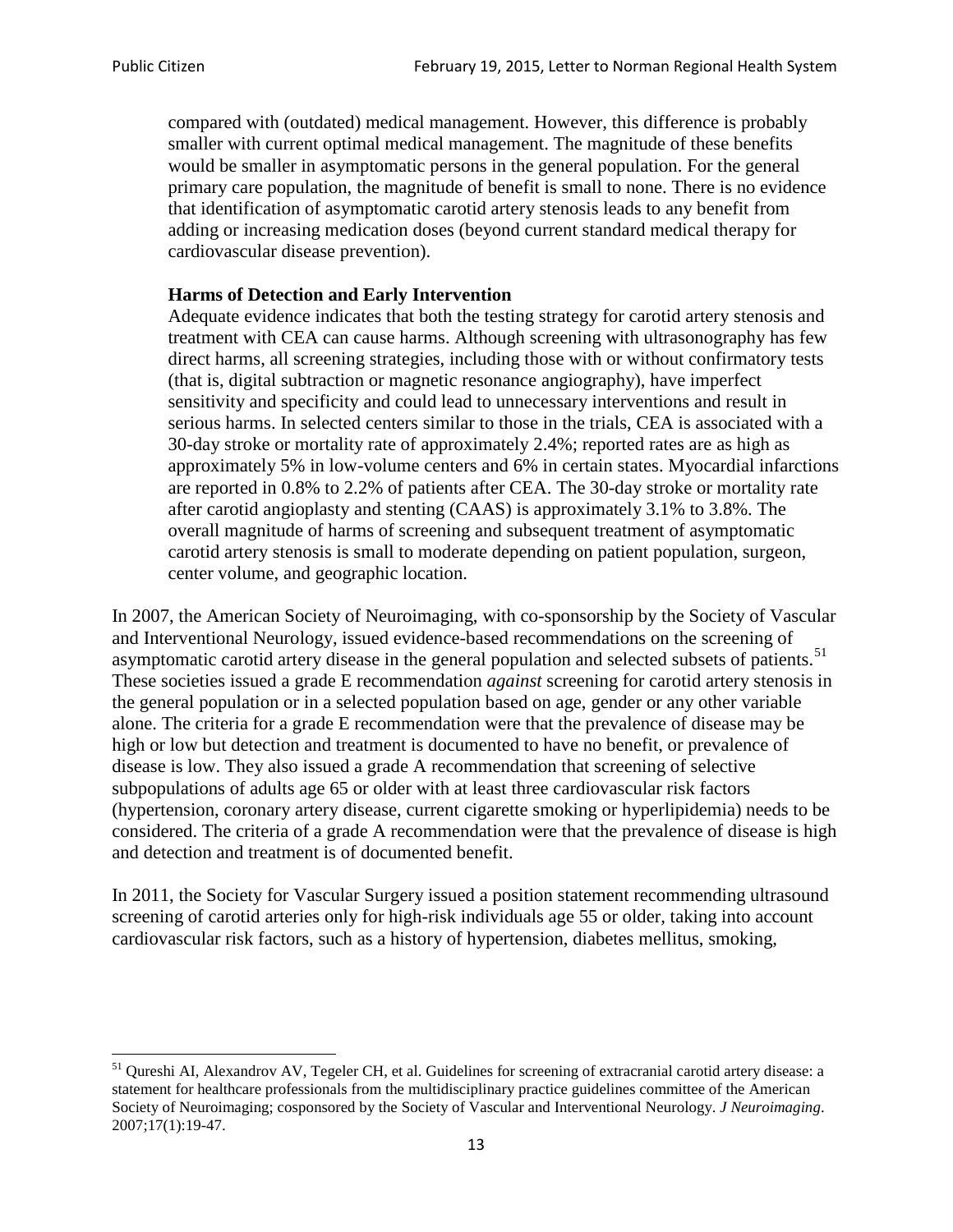compared with (outdated) medical management. However, this difference is probably smaller with current optimal medical management. The magnitude of these benefits would be smaller in asymptomatic persons in the general population. For the general primary care population, the magnitude of benefit is small to none. There is no evidence that identification of asymptomatic carotid artery stenosis leads to any benefit from adding or increasing medication doses (beyond current standard medical therapy for cardiovascular disease prevention).

## **Harms of Detection and Early Intervention**

Adequate evidence indicates that both the testing strategy for carotid artery stenosis and treatment with CEA can cause harms. Although screening with ultrasonography has few direct harms, all screening strategies, including those with or without confirmatory tests (that is, digital subtraction or magnetic resonance angiography), have imperfect sensitivity and specificity and could lead to unnecessary interventions and result in serious harms. In selected centers similar to those in the trials, CEA is associated with a 30-day stroke or mortality rate of approximately 2.4%; reported rates are as high as approximately 5% in low-volume centers and 6% in certain states. Myocardial infarctions are reported in 0.8% to 2.2% of patients after CEA. The 30-day stroke or mortality rate after carotid angioplasty and stenting (CAAS) is approximately 3.1% to 3.8%. The overall magnitude of harms of screening and subsequent treatment of asymptomatic carotid artery stenosis is small to moderate depending on patient population, surgeon, center volume, and geographic location.

In 2007, the American Society of Neuroimaging, with co-sponsorship by the Society of Vascular and Interventional Neurology, issued evidence-based recommendations on the screening of asymptomatic carotid artery disease in the general population and selected subsets of patients.<sup>[51](#page-12-0)</sup> These societies issued a grade E recommendation *against* screening for carotid artery stenosis in the general population or in a selected population based on age, gender or any other variable alone. The criteria for a grade E recommendation were that the prevalence of disease may be high or low but detection and treatment is documented to have no benefit, or prevalence of disease is low. They also issued a grade A recommendation that screening of selective subpopulations of adults age 65 or older with at least three cardiovascular risk factors (hypertension, coronary artery disease, current cigarette smoking or hyperlipidemia) needs to be considered. The criteria of a grade A recommendation were that the prevalence of disease is high and detection and treatment is of documented benefit.

In 2011, the Society for Vascular Surgery issued a position statement recommending ultrasound screening of carotid arteries only for high-risk individuals age 55 or older, taking into account cardiovascular risk factors, such as a history of hypertension, diabetes mellitus, smoking,

<span id="page-12-0"></span><sup>&</sup>lt;sup>51</sup> Oureshi AI, Alexandrov AV, Tegeler CH, et al. Guidelines for screening of extracranial carotid artery disease: a statement for healthcare professionals from the multidisciplinary practice guidelines committee of the American Society of Neuroimaging; cosponsored by the Society of Vascular and Interventional Neurology. *J Neuroimaging*. 2007;17(1):19-47.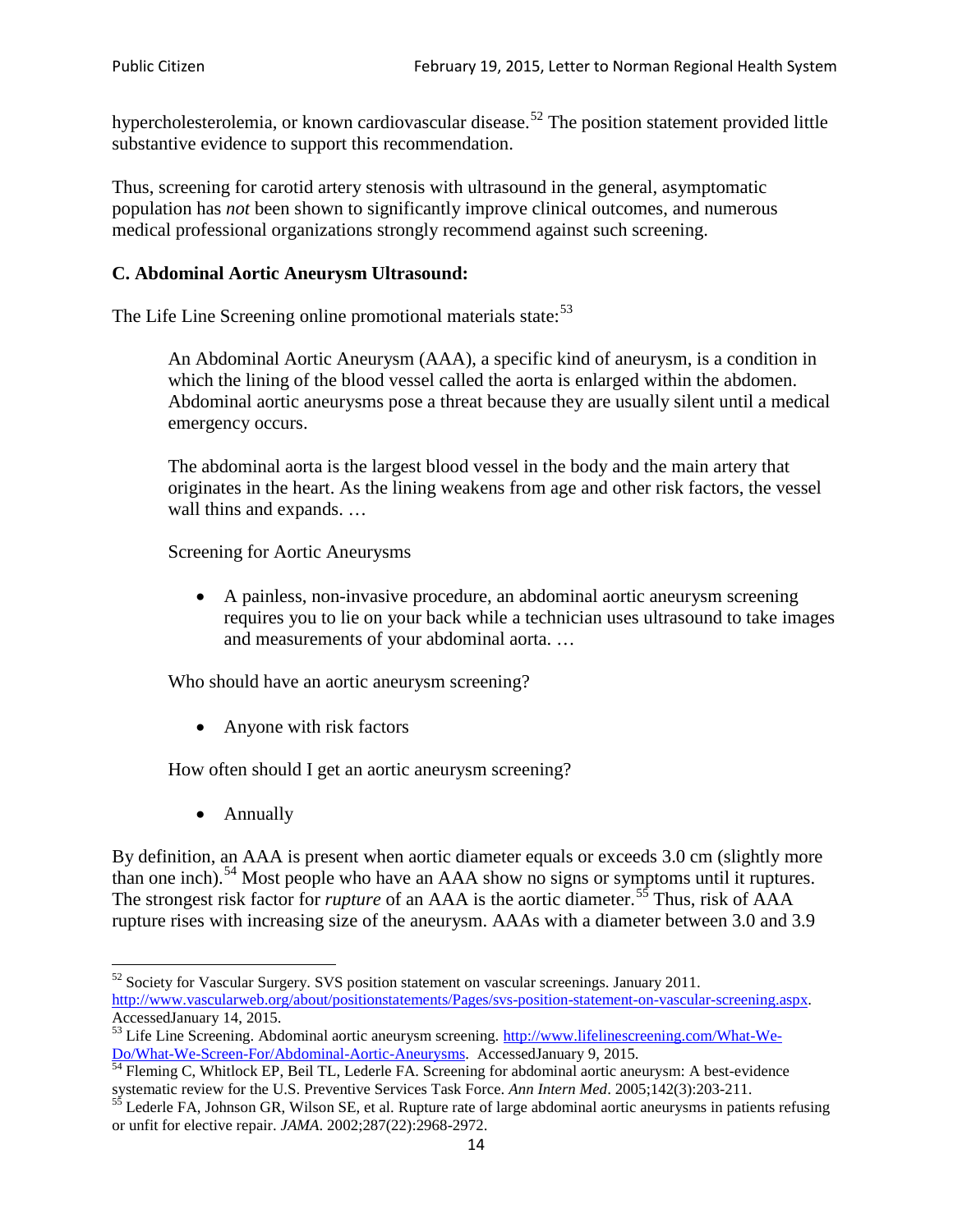hypercholesterolemia, or known cardiovascular disease.<sup>[52](#page-13-0)</sup> The position statement provided little substantive evidence to support this recommendation.

Thus, screening for carotid artery stenosis with ultrasound in the general, asymptomatic population has *not* been shown to significantly improve clinical outcomes, and numerous medical professional organizations strongly recommend against such screening.

### **C. Abdominal Aortic Aneurysm Ultrasound:**

The Life Line Screening online promotional materials state:<sup>[53](#page-13-1)</sup>

An Abdominal Aortic Aneurysm (AAA), a specific kind of aneurysm, is a condition in which the lining of the blood vessel called the aorta is enlarged within the abdomen. Abdominal aortic aneurysms pose a threat because they are usually silent until a medical emergency occurs.

The abdominal aorta is the largest blood vessel in the body and the main artery that originates in the heart. As the lining weakens from age and other risk factors, the vessel wall thins and expands. …

Screening for Aortic Aneurysms

• A painless, non-invasive procedure, an abdominal aortic aneurysm screening requires you to lie on your back while a technician uses ultrasound to take images and measurements of your abdominal aorta. …

Who should have an aortic aneurysm screening?

• Anyone with risk factors

How often should I get an aortic aneurysm screening?

• Annually

By definition, an AAA is present when aortic diameter equals or exceeds 3.0 cm (slightly more than one inch).<sup>[54](#page-13-2)</sup> Most people who have an AAA show no signs or symptoms until it ruptures. The strongest risk factor for *rupture* of an AAA is the aortic diameter.<sup>[55](#page-13-3)</sup> Thus, risk of AAA rupture rises with increasing size of the aneurysm. AAAs with a diameter between 3.0 and 3.9

<span id="page-13-0"></span> $52$  Society for Vascular Surgery. SVS position statement on vascular screenings. January 2011. http://www.vascularweb.org/about/positionstatements/Pages/svs-position-statement-on-vascular-screening.aspx.<br>Accessed January 14, 2015.

<span id="page-13-1"></span>Accessed Line Screening. Abdominal aortic aneurysm screening. http://www.lifelinescreening.com/What-We-<br>Do/What-We-Screen-For/Abdominal-Aortic-Aneurysms. Accessed January 9, 2015.

<span id="page-13-2"></span> $\frac{1}{54}$  Fleming C, Whitlock EP, Beil TL, Lederle FA. Screening for abdominal aortic aneurysm: A best-evidence systematic review for the U.S. Preventive Services Task Force. *Ann Intern Med.* 2005;142(3):203-211.<br><sup>55</sup> Lederle FA, Johnson GR, Wilson SE, et al. Rupture rate of large abdominal aortic aneurysms in patients refusing

<span id="page-13-3"></span>or unfit for elective repair. *JAMA*. 2002;287(22):2968-2972.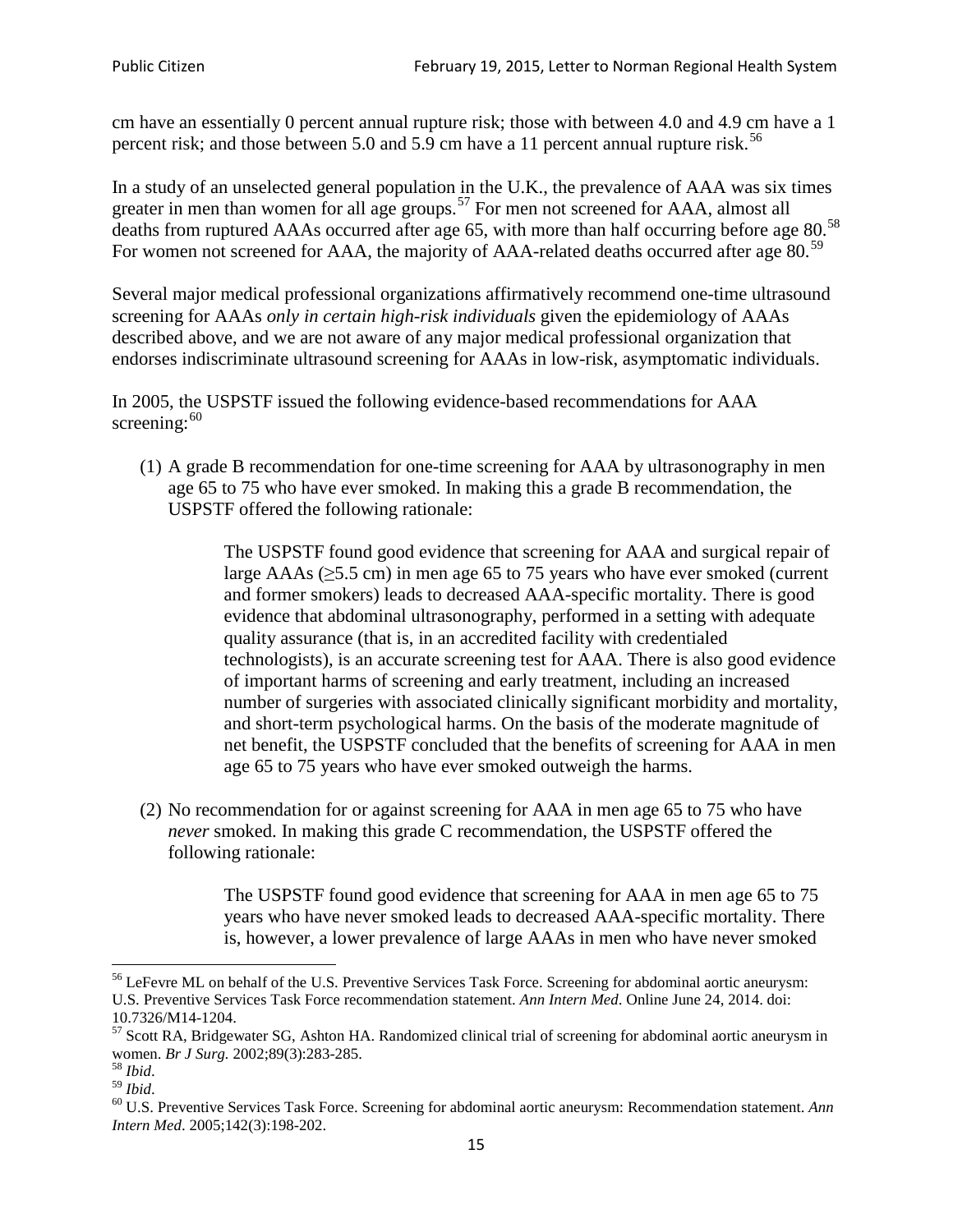cm have an essentially 0 percent annual rupture risk; those with between 4.0 and 4.9 cm have a 1 percent risk; and those between 5.0 and 5.9 cm have a 11 percent annual rupture risk.<sup>[56](#page-14-0)</sup>

In a study of an unselected general population in the U.K., the prevalence of AAA was six times greater in men than women for all age groups.<sup>[57](#page-14-1)</sup> For men not screened for  $AAA$ , almost all deaths from ruptured AAAs occurred after age 65, with more than half occurring before age 80.<sup>[58](#page-14-2)</sup> For women not screened for AAA, the majority of AAA-related deaths occurred after age 80.<sup>[59](#page-14-3)</sup>

Several major medical professional organizations affirmatively recommend one-time ultrasound screening for AAAs *only in certain high-risk individuals* given the epidemiology of AAAs described above, and we are not aware of any major medical professional organization that endorses indiscriminate ultrasound screening for AAAs in low-risk, asymptomatic individuals.

In 2005, the USPSTF issued the following evidence-based recommendations for AAA screening: $60$ 

(1) A grade B recommendation for one-time screening for AAA by ultrasonography in men age 65 to 75 who have ever smoked. In making this a grade [B recommendation,](http://www.uspreventiveservicestaskforce.org/uspstf/gradespre.htm#brec) the USPSTF offered the following rationale:

> The USPSTF found good evidence that screening for AAA and surgical repair of large AAAs ( $\geq$ 5.5 cm) in men age 65 to 75 years who have ever smoked (current and former smokers) leads to decreased AAA-specific mortality. There is good evidence that abdominal ultrasonography, performed in a setting with adequate quality assurance (that is, in an accredited facility with credentialed technologists), is an accurate screening test for AAA. There is also good evidence of important harms of screening and early treatment, including an increased number of surgeries with associated clinically significant morbidity and mortality, and short-term psychological harms. On the basis of the moderate magnitude of net benefit, the USPSTF concluded that the benefits of screening for AAA in men age 65 to 75 years who have ever smoked outweigh the harms.

(2) No recommendation for or against screening for AAA in men age 65 to 75 who have *never* smoked. In making this grade C recommendation, the USPSTF offered the following rationale:

> The USPSTF found good evidence that screening for AAA in men age 65 to 75 years who have never smoked leads to decreased AAA-specific mortality. There is, however, a lower prevalence of large AAAs in men who have never smoked

<span id="page-14-0"></span><sup>&</sup>lt;sup>56</sup> LeFevre ML on behalf of the U.S. Preventive Services Task Force. Screening for abdominal aortic aneurysm: U.S. Preventive Services Task Force recommendation statement. *Ann Intern Med*. Online June 24, 2014. doi:

<span id="page-14-1"></span><sup>10.7326/</sup>M14-1204.<br> $57$  Scott RA, Bridgewater SG, Ashton HA. Randomized clinical trial of screening for abdominal aortic aneurysm in women. *Br J Surg.* 2002;89(3):283-285.

<span id="page-14-4"></span><span id="page-14-3"></span>

<span id="page-14-2"></span><sup>&</sup>lt;sup>58</sup> *Ibid.*<br><sup>59</sup> *Ibid.* 2002;<br><sup>60</sup> U.S. Preventive Services Task Force. Screening for abdominal aortic aneurysm: Recommendation statement. *Ann Intern Med*. 2005;142(3):198-202.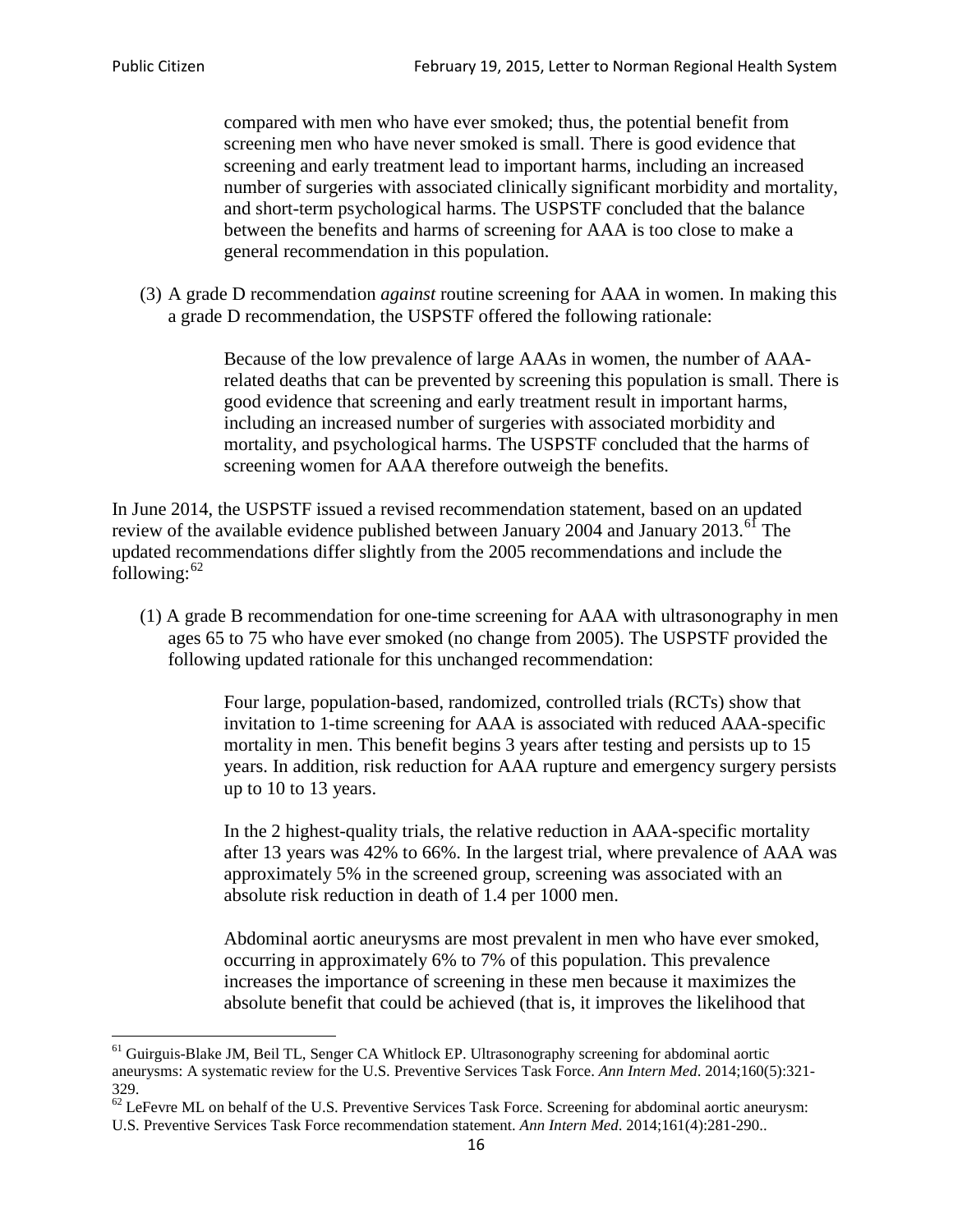compared with men who have ever smoked; thus, the potential benefit from screening men who have never smoked is small. There is good evidence that screening and early treatment lead to important harms, including an increased number of surgeries with associated clinically significant morbidity and mortality, and short-term psychological harms. The USPSTF concluded that the balance between the benefits and harms of screening for AAA is too close to make a general recommendation in this population.

(3) A grade D recommendation *against* routine screening for AAA in women. In making this a grade D recommendation, the USPSTF offered the following rationale:

> Because of the low prevalence of large AAAs in women, the number of AAArelated deaths that can be prevented by screening this population is small. There is good evidence that screening and early treatment result in important harms, including an increased number of surgeries with associated morbidity and mortality, and psychological harms. The USPSTF concluded that the harms of screening women for AAA therefore outweigh the benefits.

In June 2014, the USPSTF issued a revised recommendation statement, based on an updated review of the available evidence published between January 2004 and January 2013.<sup>[61](#page-15-0)</sup> The updated recommendations differ slightly from the 2005 recommendations and include the following: $62$ 

(1) A grade B recommendation for one-time screening for AAA with ultrasonography in men ages 65 to 75 who have ever smoked (no change from 2005). The USPSTF provided the following updated rationale for this unchanged recommendation:

> Four large, population-based, randomized, controlled trials (RCTs) show that invitation to 1-time screening for AAA is associated with reduced AAA-specific mortality in men. This benefit begins 3 years after testing and persists up to 15 years. In addition, risk reduction for AAA rupture and emergency surgery persists up to 10 to 13 years.

> In the 2 highest-quality trials, the relative reduction in AAA-specific mortality after 13 years was 42% to 66%. In the largest trial, where prevalence of AAA was approximately 5% in the screened group, screening was associated with an absolute risk reduction in death of 1.4 per 1000 men.

Abdominal aortic aneurysms are most prevalent in men who have ever smoked, occurring in approximately 6% to 7% of this population. This prevalence increases the importance of screening in these men because it maximizes the absolute benefit that could be achieved (that is, it improves the likelihood that

<span id="page-15-0"></span><sup>61</sup> Guirguis-Blake JM, Beil TL, Senger CA Whitlock EP. Ultrasonography screening for abdominal aortic aneurysms: A systematic review for the U.S. Preventive Services Task Force. *Ann Intern Med*. 2014;160(5):321- 329.

<span id="page-15-1"></span> $62$  LeFevre ML on behalf of the U.S. Preventive Services Task Force. Screening for abdominal aortic aneurysm: U.S. Preventive Services Task Force recommendation statement. *Ann Intern Med*. 2014;161(4):281-290..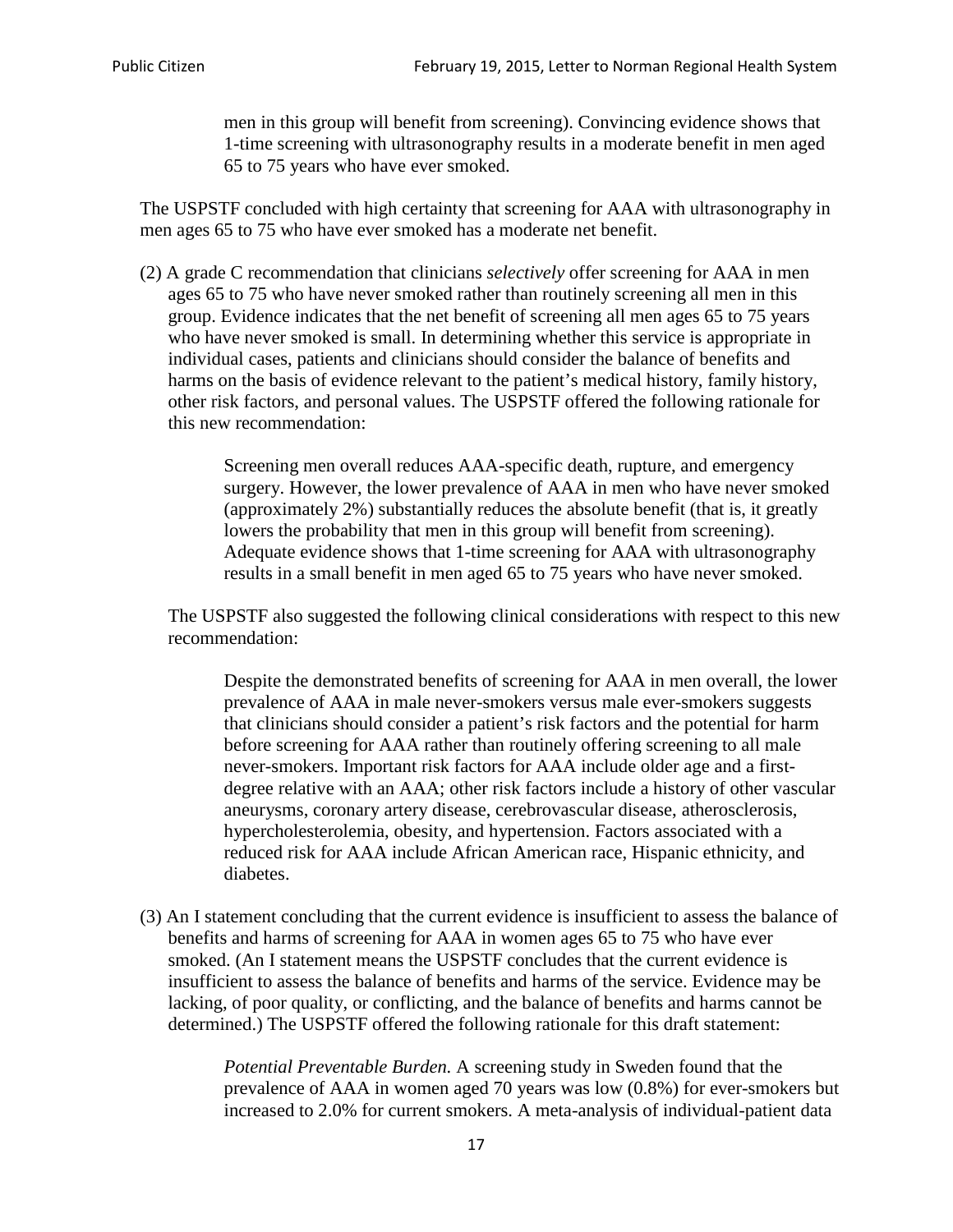men in this group will benefit from screening). Convincing evidence shows that 1-time screening with ultrasonography results in a moderate benefit in men aged 65 to 75 years who have ever smoked.

The USPSTF concluded with high certainty that screening for AAA with ultrasonography in men ages 65 to 75 who have ever smoked has a moderate net benefit.

(2) A grade C recommendation that clinicians *selectively* offer screening for AAA in men ages 65 to 75 who have never smoked rather than routinely screening all men in this group. Evidence indicates that the net benefit of screening all men ages 65 to 75 years who have never smoked is small. In determining whether this service is appropriate in individual cases, patients and clinicians should consider the balance of benefits and harms on the basis of evidence relevant to the patient's medical history, family history, other risk factors, and personal values. The USPSTF offered the following rationale for this new recommendation:

> Screening men overall reduces AAA-specific death, rupture, and emergency surgery. However, the lower prevalence of AAA in men who have never smoked (approximately 2%) substantially reduces the absolute benefit (that is, it greatly lowers the probability that men in this group will benefit from screening). Adequate evidence shows that 1-time screening for AAA with ultrasonography results in a small benefit in men aged 65 to 75 years who have never smoked.

The USPSTF also suggested the following clinical considerations with respect to this new recommendation:

Despite the demonstrated benefits of screening for AAA in men overall, the lower prevalence of AAA in male never-smokers versus male ever-smokers suggests that clinicians should consider a patient's risk factors and the potential for harm before screening for AAA rather than routinely offering screening to all male never-smokers. Important risk factors for AAA include older age and a firstdegree relative with an AAA; other risk factors include a history of other vascular aneurysms, coronary artery disease, cerebrovascular disease, atherosclerosis, hypercholesterolemia, obesity, and hypertension. Factors associated with a reduced risk for AAA include African American race, Hispanic ethnicity, and diabetes.

(3) An I statement concluding that the current evidence is insufficient to assess the balance of benefits and harms of screening for AAA in women ages 65 to 75 who have ever smoked. (An I statement means the USPSTF concludes that the current evidence is insufficient to assess the balance of benefits and harms of the service. Evidence may be lacking, of poor quality, or conflicting, and the balance of benefits and harms cannot be determined.) The USPSTF offered the following rationale for this draft statement:

> *Potential Preventable Burden.* A screening study in Sweden found that the prevalence of AAA in women aged 70 years was low (0.8%) for ever-smokers but increased to 2.0% for current smokers. A meta-analysis of individual-patient data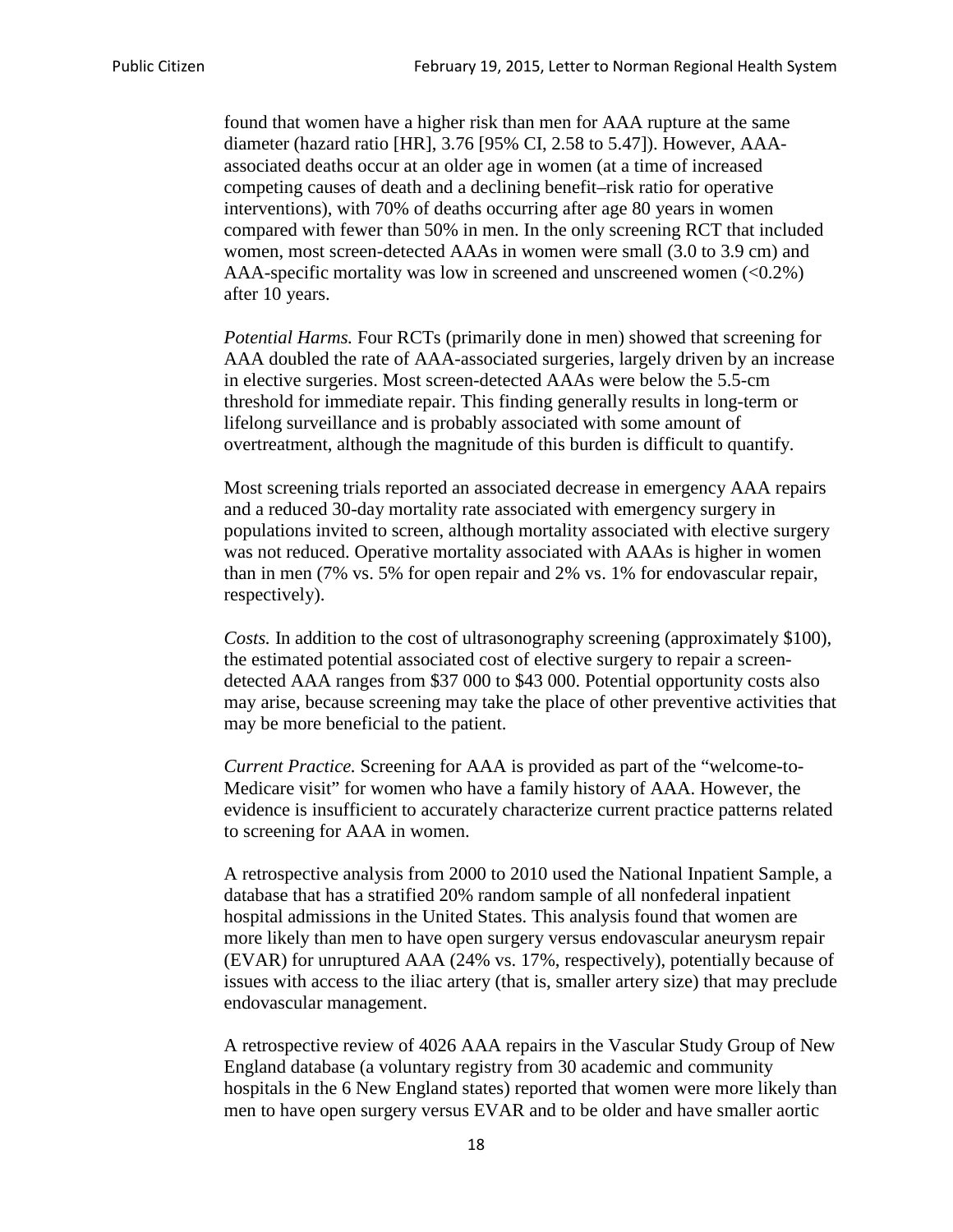found that women have a higher risk than men for AAA rupture at the same diameter (hazard ratio [HR], 3.76 [95% CI, 2.58 to 5.47]). However, AAAassociated deaths occur at an older age in women (at a time of increased competing causes of death and a declining benefit–risk ratio for operative interventions), with 70% of deaths occurring after age 80 years in women compared with fewer than 50% in men. In the only screening RCT that included women, most screen-detected AAAs in women were small (3.0 to 3.9 cm) and AAA-specific mortality was low in screened and unscreened women  $(<0.2\%)$ after 10 years.

*Potential Harms.* Four RCTs (primarily done in men) showed that screening for AAA doubled the rate of AAA-associated surgeries, largely driven by an increase in elective surgeries. Most screen-detected AAAs were below the 5.5-cm threshold for immediate repair. This finding generally results in long-term or lifelong surveillance and is probably associated with some amount of overtreatment, although the magnitude of this burden is difficult to quantify.

Most screening trials reported an associated decrease in emergency AAA repairs and a reduced 30-day mortality rate associated with emergency surgery in populations invited to screen, although mortality associated with elective surgery was not reduced. Operative mortality associated with AAAs is higher in women than in men (7% vs. 5% for open repair and 2% vs. 1% for endovascular repair, respectively).

*Costs.* In addition to the cost of ultrasonography screening (approximately \$100), the estimated potential associated cost of elective surgery to repair a screendetected AAA ranges from \$37 000 to \$43 000. Potential opportunity costs also may arise, because screening may take the place of other preventive activities that may be more beneficial to the patient.

*Current Practice.* Screening for AAA is provided as part of the "welcome-to-Medicare visit" for women who have a family history of AAA. However, the evidence is insufficient to accurately characterize current practice patterns related to screening for AAA in women.

A retrospective analysis from 2000 to 2010 used the National Inpatient Sample, a database that has a stratified 20% random sample of all nonfederal inpatient hospital admissions in the United States. This analysis found that women are more likely than men to have open surgery versus endovascular aneurysm repair (EVAR) for unruptured AAA (24% vs. 17%, respectively), potentially because of issues with access to the iliac artery (that is, smaller artery size) that may preclude endovascular management.

A retrospective review of 4026 AAA repairs in the Vascular Study Group of New England database (a voluntary registry from 30 academic and community hospitals in the 6 New England states) reported that women were more likely than men to have open surgery versus EVAR and to be older and have smaller aortic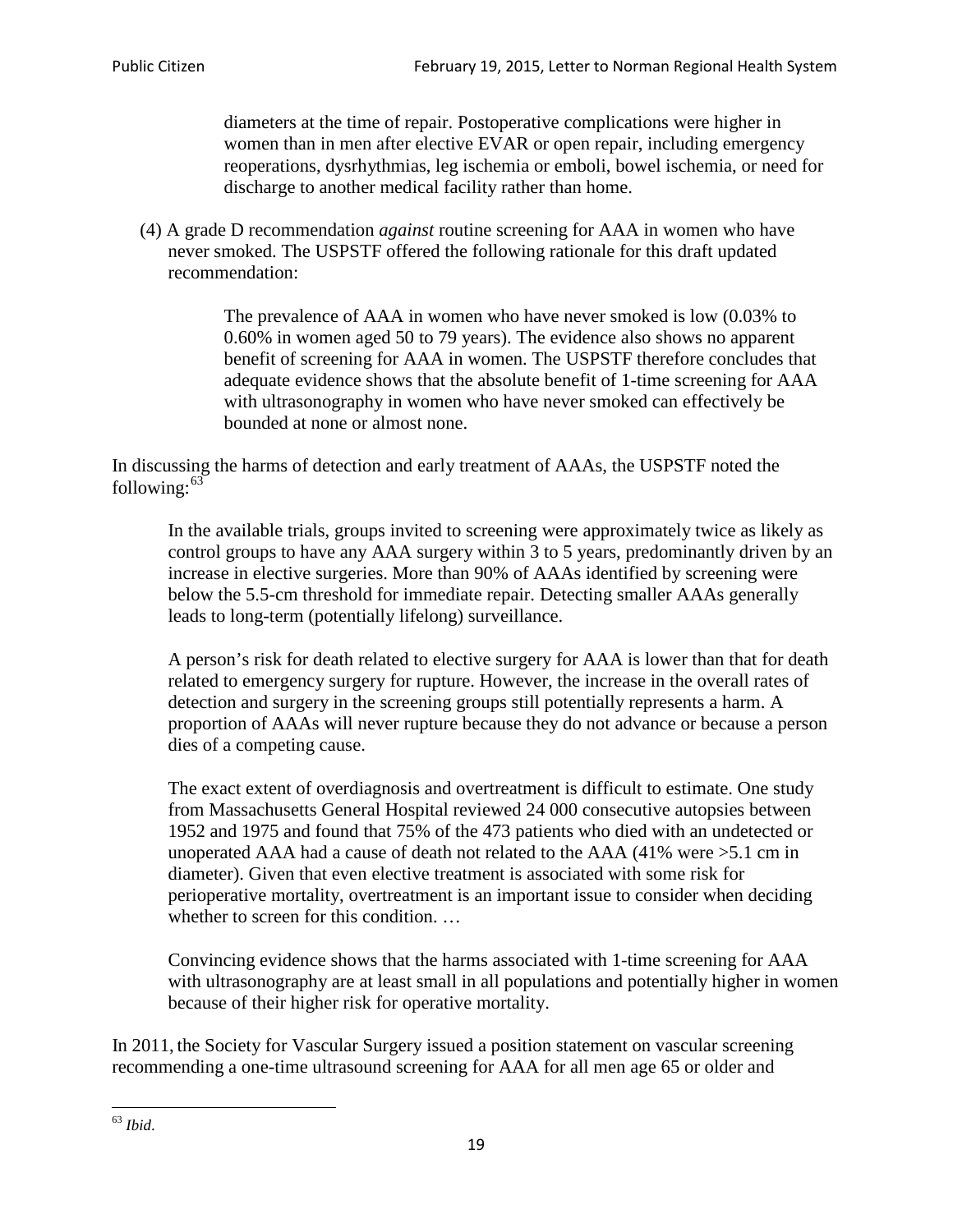diameters at the time of repair. Postoperative complications were higher in women than in men after elective EVAR or open repair, including emergency reoperations, dysrhythmias, leg ischemia or emboli, bowel ischemia, or need for discharge to another medical facility rather than home.

(4) A grade D recommendation *against* routine screening for AAA in women who have never smoked. The USPSTF offered the following rationale for this draft updated recommendation:

> The prevalence of AAA in women who have never smoked is low (0.03% to 0.60% in women aged 50 to 79 years). The evidence also shows no apparent benefit of screening for AAA in women. The USPSTF therefore concludes that adequate evidence shows that the absolute benefit of 1-time screening for AAA with ultrasonography in women who have never smoked can effectively be bounded at none or almost none.

In discussing the harms of detection and early treatment of AAAs, the USPSTF noted the following: $63$ 

In the available trials, groups invited to screening were approximately twice as likely as control groups to have any AAA surgery within 3 to 5 years, predominantly driven by an increase in elective surgeries. More than 90% of AAAs identified by screening were below the 5.5-cm threshold for immediate repair. Detecting smaller AAAs generally leads to long-term (potentially lifelong) surveillance.

A person's risk for death related to elective surgery for AAA is lower than that for death related to emergency surgery for rupture. However, the increase in the overall rates of detection and surgery in the screening groups still potentially represents a harm. A proportion of AAAs will never rupture because they do not advance or because a person dies of a competing cause.

The exact extent of overdiagnosis and overtreatment is difficult to estimate. One study from Massachusetts General Hospital reviewed 24 000 consecutive autopsies between 1952 and 1975 and found that 75% of the 473 patients who died with an undetected or unoperated AAA had a cause of death not related to the AAA (41% were >5.1 cm in diameter). Given that even elective treatment is associated with some risk for perioperative mortality, overtreatment is an important issue to consider when deciding whether to screen for this condition....

Convincing evidence shows that the harms associated with 1-time screening for AAA with ultrasonography are at least small in all populations and potentially higher in women because of their higher risk for operative mortality.

In 2011, the Society for Vascular Surgery issued a position statement on vascular screening recommending a one-time ultrasound screening for AAA for all men age 65 or older and

<span id="page-18-0"></span><sup>63</sup> *Ibid*.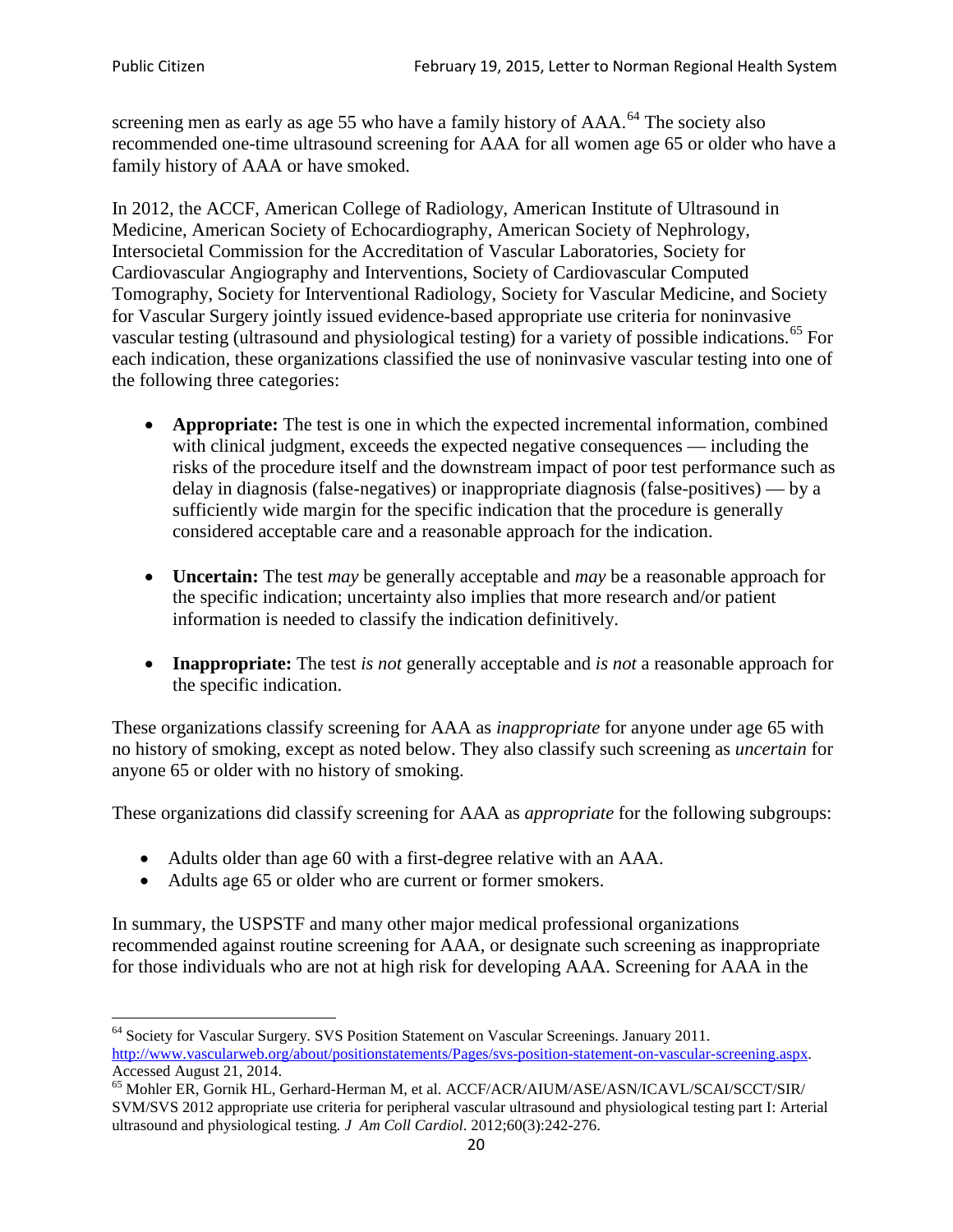screening men as early as age 55 who have a family history of AAA.<sup>[64](#page-19-0)</sup> The society also recommended one-time ultrasound screening for AAA for all women age 65 or older who have a family history of AAA or have smoked.

In 2012, the ACCF, American College of Radiology, American Institute of Ultrasound in Medicine, American Society of Echocardiography, American Society of Nephrology, Intersocietal Commission for the Accreditation of Vascular Laboratories, Society for Cardiovascular Angiography and Interventions, Society of Cardiovascular Computed Tomography, Society for Interventional Radiology, Society for Vascular Medicine, and Society for Vascular Surgery jointly issued evidence-based appropriate use criteria for noninvasive vascular testing (ultrasound and physiological testing) for a variety of possible indications.<sup>[65](#page-19-1)</sup> For each indication, these organizations classified the use of noninvasive vascular testing into one of the following three categories:

- **Appropriate:** The test is one in which the expected incremental information, combined with clinical judgment, exceeds the expected negative consequences — including the risks of the procedure itself and the downstream impact of poor test performance such as delay in diagnosis (false-negatives) or inappropriate diagnosis (false-positives) — by a sufficiently wide margin for the specific indication that the procedure is generally considered acceptable care and a reasonable approach for the indication.
- **Uncertain:** The test *may* be generally acceptable and *may* be a reasonable approach for the specific indication; uncertainty also implies that more research and/or patient information is needed to classify the indication definitively.
- **Inappropriate:** The test *is not* generally acceptable and *is not* a reasonable approach for the specific indication.

These organizations classify screening for AAA as *inappropriate* for anyone under age 65 with no history of smoking, except as noted below. They also classify such screening as *uncertain* for anyone 65 or older with no history of smoking.

These organizations did classify screening for AAA as *appropriate* for the following subgroups:

- Adults older than age 60 with a first-degree relative with an AAA.
- Adults age 65 or older who are current or former smokers.

In summary, the USPSTF and many other major medical professional organizations recommended against routine screening for AAA, or designate such screening as inappropriate for those individuals who are not at high risk for developing AAA. Screening for AAA in the

<span id="page-19-0"></span><sup>64</sup> Society for Vascular Surgery. SVS Position Statement on Vascular Screenings. January 2011. [http://www.vascularweb.org/about/positionstatements/Pages/svs-position-statement-on-vascular-screening.aspx.](http://www.vascularweb.org/about/positionstatements/Pages/svs-position-statement-on-vascular-screening.aspx) 

<span id="page-19-1"></span>Accessed August 21, 2014.<br><sup>65</sup> Mohler ER, Gornik HL, Gerhard-Herman M, et al. ACCF/ACR/AIUM/ASE/ASN/ICAVL/SCAI/SCCT/SIR/ SVM/SVS 2012 appropriate use criteria for peripheral vascular ultrasound and physiological testing part I: Arterial ultrasound and physiological testing*. J Am Coll Cardiol*. 2012;60(3):242-276.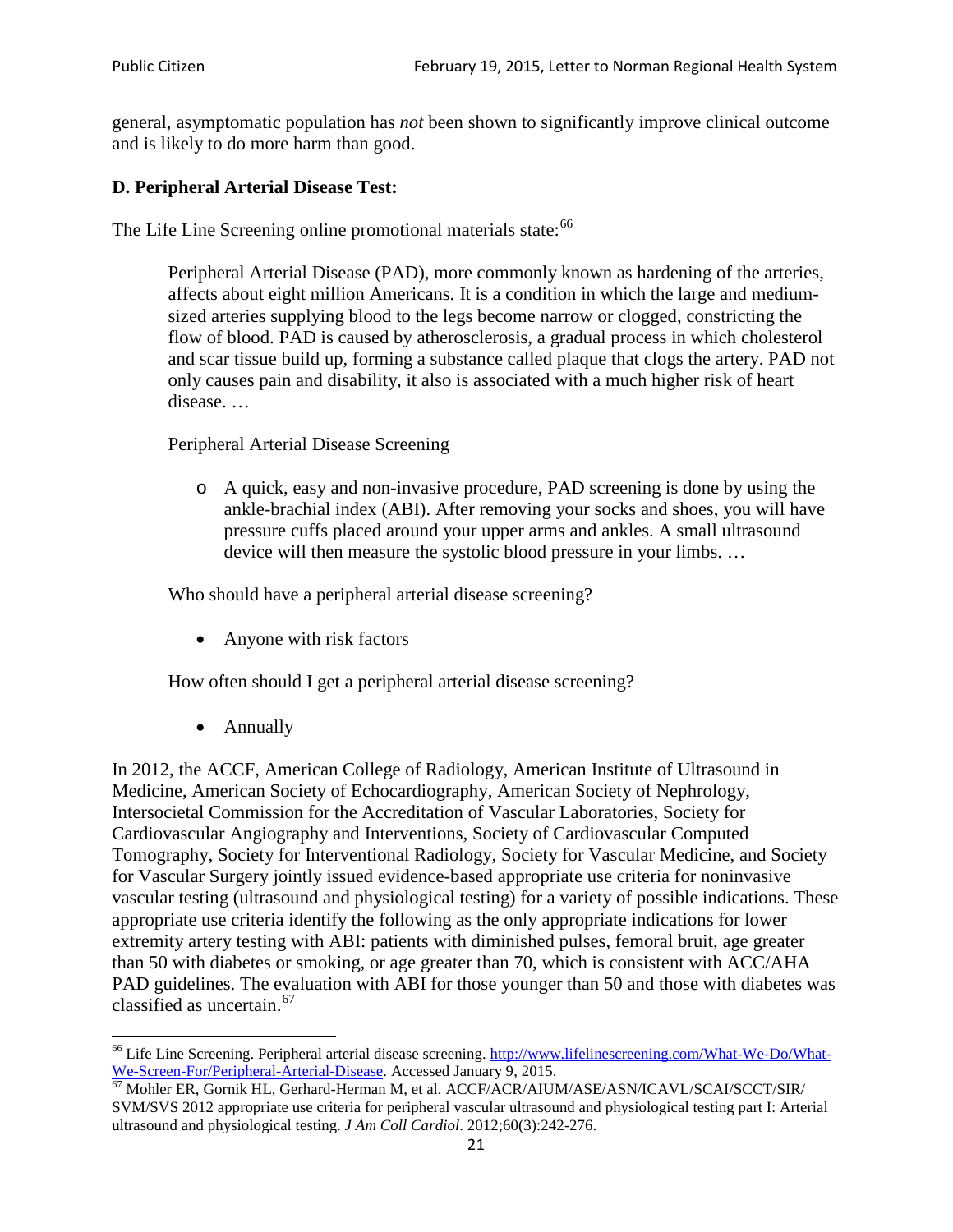general, asymptomatic population has *not* been shown to significantly improve clinical outcome and is likely to do more harm than good.

### **D. Peripheral Arterial Disease Test:**

The Life Line Screening online promotional materials state:<sup>[66](#page-20-0)</sup>

Peripheral Arterial Disease (PAD), more commonly known as hardening of the arteries, affects about eight million Americans. It is a condition in which the large and mediumsized arteries supplying blood to the legs become narrow or clogged, constricting the flow of blood. PAD is caused by atherosclerosis, a gradual process in which cholesterol and scar tissue build up, forming a substance called plaque that clogs the artery. PAD not only causes pain and disability, it also is associated with a much higher risk of heart disease. …

Peripheral Arterial Disease Screening

o A quick, easy and non-invasive procedure, PAD screening is done by using the ankle-brachial index (ABI). After removing your socks and shoes, you will have pressure cuffs placed around your upper arms and ankles. A small ultrasound device will then measure the systolic blood pressure in your limbs. …

Who should have a peripheral arterial disease screening?

• Anyone with risk factors

How often should I get a peripheral arterial disease screening?

• Annually

In 2012, the ACCF, American College of Radiology, American Institute of Ultrasound in Medicine, American Society of Echocardiography, American Society of Nephrology, Intersocietal Commission for the Accreditation of Vascular Laboratories, Society for Cardiovascular Angiography and Interventions, Society of Cardiovascular Computed Tomography, Society for Interventional Radiology, Society for Vascular Medicine, and Society for Vascular Surgery jointly issued evidence-based appropriate use criteria for noninvasive vascular testing (ultrasound and physiological testing) for a variety of possible indications. These appropriate use criteria identify the following as the only appropriate indications for lower extremity artery testing with ABI: patients with diminished pulses, femoral bruit, age greater than 50 with diabetes or smoking, or age greater than 70, which is consistent with ACC/AHA PAD guidelines. The evaluation with ABI for those younger than 50 and those with diabetes was classified as uncertain.<sup>[67](#page-20-1)</sup>

<span id="page-20-0"></span><sup>&</sup>lt;sup>66</sup> Life Line Screening. Peripheral arterial disease screening. [http://www.lifelinescreening.com/What-We-Do/What-](http://www.lifelinescreening.com/What-We-Do/What-We-Screen-For/Peripheral-Arterial-Disease)[We-Screen-For/Peripheral-Arterial-Disease.](http://www.lifelinescreening.com/What-We-Do/What-We-Screen-For/Peripheral-Arterial-Disease) Accessed January 9, 2015.<br><sup>67</sup> Mohler ER, Gornik HL, Gerhard-Herman M, et al. ACCF/ACR/AIUM/ASE/ASN/ICAVL/SCAI/SCCT/SIR/

<span id="page-20-1"></span>SVM/SVS 2012 appropriate use criteria for peripheral vascular ultrasound and physiological testing part I: Arterial ultrasound and physiological testing. *J Am Coll Cardiol*. 2012;60(3):242-276.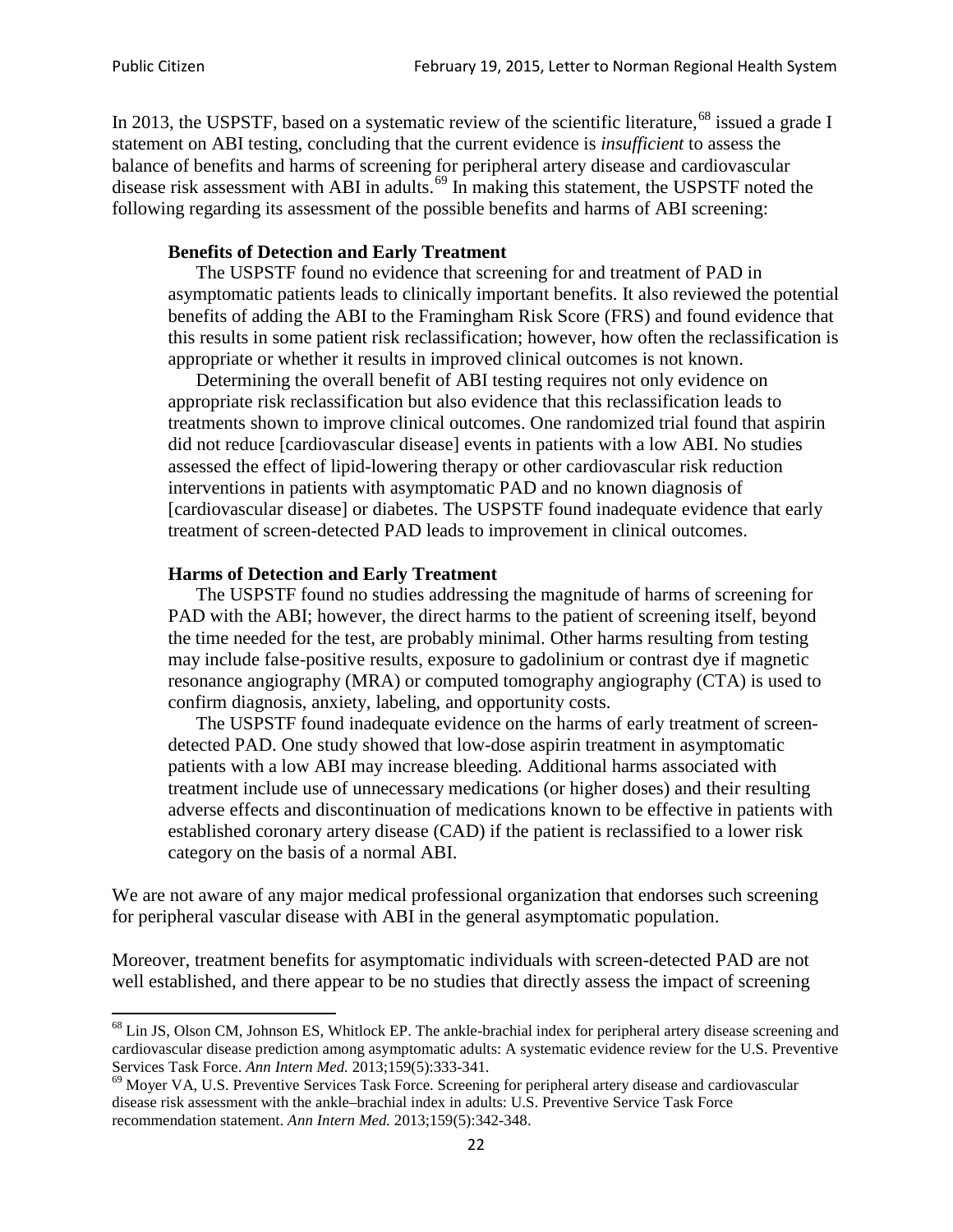In 2013, the USPSTF, based on a systematic review of the scientific literature,<sup>[68](#page-21-0)</sup> issued a grade I statement on ABI testing, concluding that the current evidence is *insufficient* to assess the balance of benefits and harms of screening for peripheral artery disease and cardiovascular disease risk assessment with ABI in adults.<sup>[69](#page-21-1)</sup> In making this statement, the USPSTF noted the following regarding its assessment of the possible benefits and harms of ABI screening:

#### **Benefits of Detection and Early Treatment**

The USPSTF found no evidence that screening for and treatment of PAD in asymptomatic patients leads to clinically important benefits. It also reviewed the potential benefits of adding the ABI to the Framingham Risk Score (FRS) and found evidence that this results in some patient risk reclassification; however, how often the reclassification is appropriate or whether it results in improved clinical outcomes is not known.

Determining the overall benefit of ABI testing requires not only evidence on appropriate risk reclassification but also evidence that this reclassification leads to treatments shown to improve clinical outcomes. One randomized trial found that aspirin did not reduce [cardiovascular disease] events in patients with a low ABI. No studies assessed the effect of lipid-lowering therapy or other cardiovascular risk reduction interventions in patients with asymptomatic PAD and no known diagnosis of [cardiovascular disease] or diabetes. The USPSTF found inadequate evidence that early treatment of screen-detected PAD leads to improvement in clinical outcomes.

#### **Harms of Detection and Early Treatment**

The USPSTF found no studies addressing the magnitude of harms of screening for PAD with the ABI; however, the direct harms to the patient of screening itself, beyond the time needed for the test, are probably minimal. Other harms resulting from testing may include false-positive results, exposure to gadolinium or contrast dye if magnetic resonance angiography (MRA) or computed tomography angiography (CTA) is used to confirm diagnosis, anxiety, labeling, and opportunity costs.

The USPSTF found inadequate evidence on the harms of early treatment of screendetected PAD. One study showed that low-dose aspirin treatment in asymptomatic patients with a low ABI may increase bleeding. Additional harms associated with treatment include use of unnecessary medications (or higher doses) and their resulting adverse effects and discontinuation of medications known to be effective in patients with established coronary artery disease (CAD) if the patient is reclassified to a lower risk category on the basis of a normal ABI.

We are not aware of any major medical professional organization that endorses such screening for peripheral vascular disease with ABI in the general asymptomatic population.

Moreover, treatment benefits for asymptomatic individuals with screen-detected PAD are not well established, and there appear to be no studies that directly assess the impact of screening

<span id="page-21-0"></span><sup>&</sup>lt;sup>68</sup> Lin JS, Olson CM, Johnson ES, Whitlock EP. The ankle-brachial index for peripheral artery disease screening and cardiovascular disease prediction among asymptomatic adults: A systematic evidence review for the U.S. Preventive Services Task Force. *Ann Intern Med.* 2013;159(5):333-341.<br><sup>69</sup> Moyer VA, U.S. Preventive Services Task Force. Screening for peripheral artery disease and cardiovascular

<span id="page-21-1"></span>disease risk assessment with the ankle–brachial index in adults: U.S. Preventive Service Task Force recommendation statement. *Ann Intern Med.* 2013;159(5):342-348.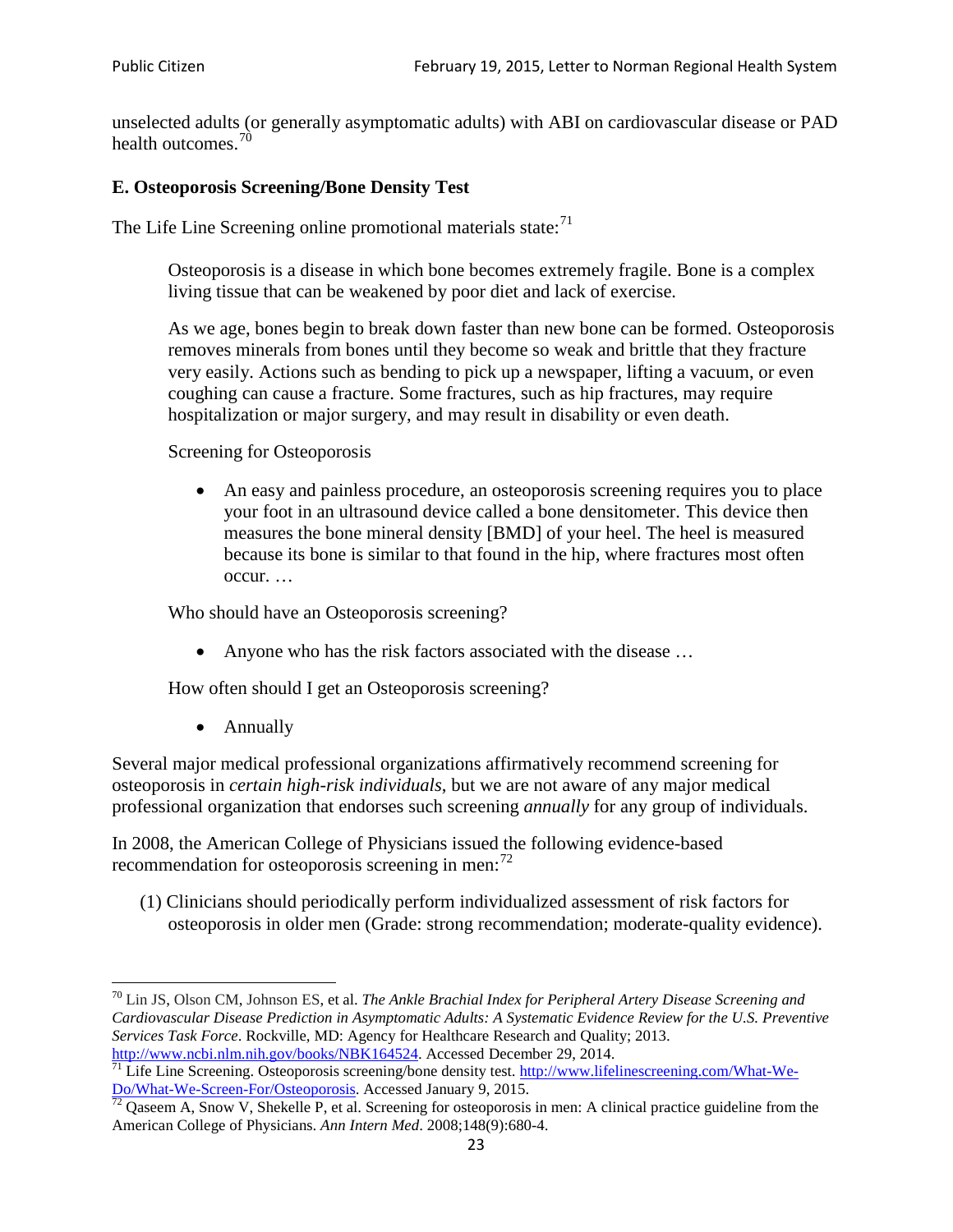unselected adults (or generally asymptomatic adults) with ABI on cardiovascular disease or PAD health outcomes.<sup>[70](#page-22-0)</sup>

#### **E. Osteoporosis Screening/Bone Density Test**

The Life Line Screening online promotional materials state: $71$ 

Osteoporosis is a disease in which bone becomes extremely fragile. Bone is a complex living tissue that can be weakened by poor diet and lack of exercise.

As we age, bones begin to break down faster than new bone can be formed. Osteoporosis removes minerals from bones until they become so weak and brittle that they fracture very easily. Actions such as bending to pick up a newspaper, lifting a vacuum, or even coughing can cause a fracture. Some fractures, such as hip fractures, may require hospitalization or major surgery, and may result in disability or even death.

Screening for Osteoporosis

• An easy and painless procedure, an osteoporosis screening requires you to place your foot in an ultrasound device called a bone densitometer. This device then measures the bone mineral density [BMD] of your heel. The heel is measured because its bone is similar to that found in the hip, where fractures most often occur. …

Who should have an Osteoporosis screening?

• Anyone who has the risk factors associated with the disease ...

How often should I get an Osteoporosis screening?

• Annually

Several major medical professional organizations affirmatively recommend screening for osteoporosis in *certain high-risk individuals*, but we are not aware of any major medical professional organization that endorses such screening *annually* for any group of individuals.

In 2008, the American College of Physicians issued the following evidence-based recommendation for osteoporosis screening in men: $^{72}$  $^{72}$  $^{72}$ 

(1) Clinicians should periodically perform individualized assessment of risk factors for osteoporosis in older men (Grade: strong recommendation; moderate-quality evidence).

<span id="page-22-0"></span><sup>70</sup> [Lin JS,](http://www.ncbi.nlm.nih.gov/pubmed?term=Lin%20JS%5BAuthor%5D&cauthor=true&cauthor_uid=24156115) [Olson CM,](http://www.ncbi.nlm.nih.gov/pubmed?term=Olson%20CM%5BAuthor%5D&cauthor=true&cauthor_uid=24156115) [Johnson ES,](http://www.ncbi.nlm.nih.gov/pubmed?term=Johnson%20ES%5BAuthor%5D&cauthor=true&cauthor_uid=24156115) et al. *The Ankle Brachial Index for Peripheral Artery Disease Screening and Cardiovascular Disease Prediction in Asymptomatic Adults: A Systematic Evidence Review for the U.S. Preventive Services Task Force*. Rockville, MD: Agency for Healthcare Research and Quality; 2013.<br>http://www.ncbi.nlm.nih.gov/books/NBK164524. Accessed December 29, 2014.

<span id="page-22-1"></span> $\frac{1}{71}$  Life Line Screening. Osteoporosis screening/bone density test. [http://www.lifelinescreening.com/What-We-](http://www.lifelinescreening.com/What-We-Do/What-We-Screen-For/Osteoporosis) $\frac{Do/What-We-Screen-For/Osteoporosis}{72}$  Qaseem A, Snow V, Shekelle P, et al. Screening for osteoporosis in men: A clinical practice guideline from the

<span id="page-22-2"></span>American College of Physicians. *Ann Intern Med*. 2008;148(9):680-4.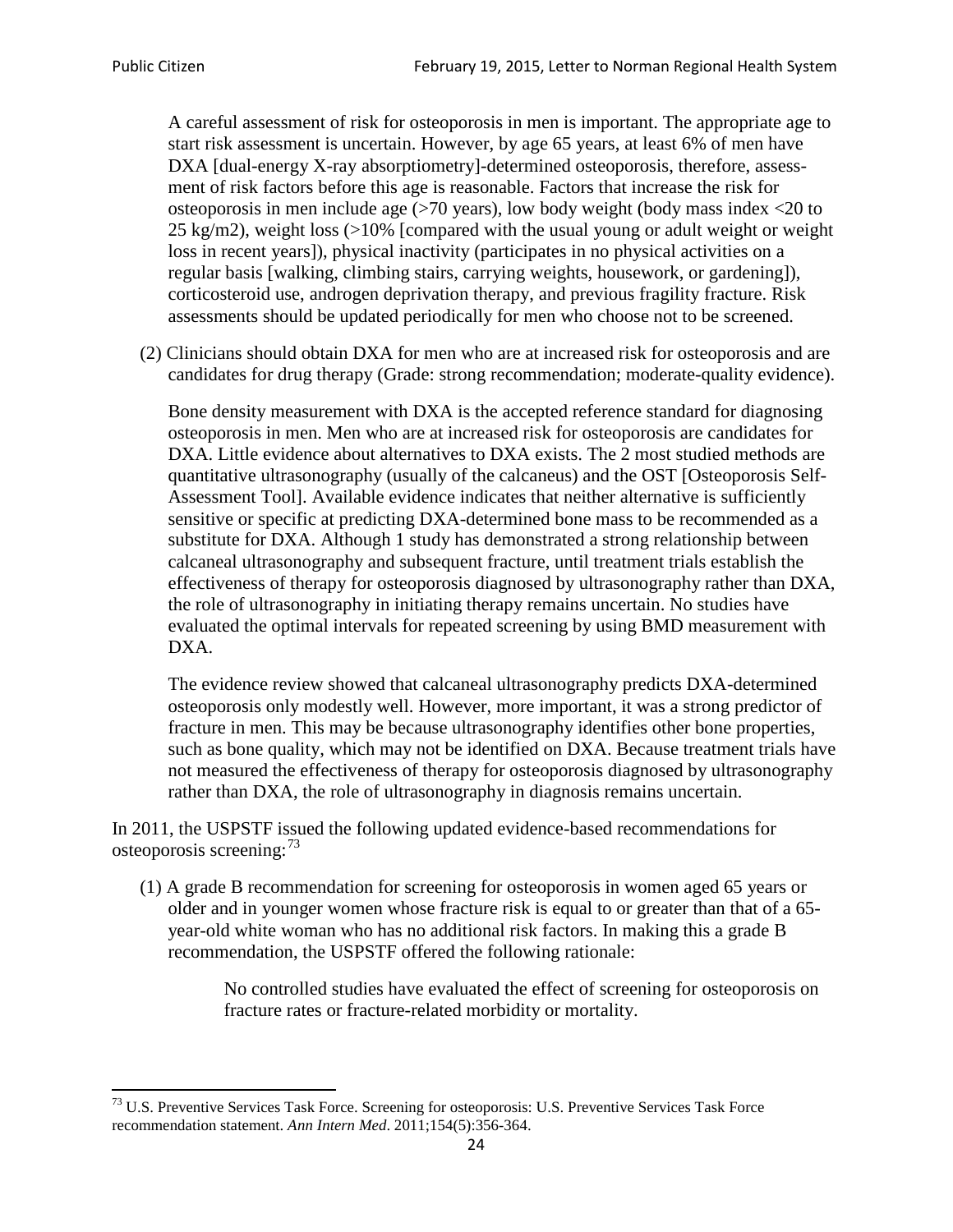A careful assessment of risk for osteoporosis in men is important. The appropriate age to start risk assessment is uncertain. However, by age 65 years, at least 6% of men have DXA [dual-energy X-ray absorptiometry]-determined osteoporosis, therefore, assessment of risk factors before this age is reasonable. Factors that increase the risk for osteoporosis in men include age (>70 years), low body weight (body mass index <20 to 25 kg/m2), weight loss (>10% [compared with the usual young or adult weight or weight loss in recent years]), physical inactivity (participates in no physical activities on a regular basis [walking, climbing stairs, carrying weights, housework, or gardening]), corticosteroid use, androgen deprivation therapy, and previous fragility fracture. Risk assessments should be updated periodically for men who choose not to be screened.

(2) Clinicians should obtain DXA for men who are at increased risk for osteoporosis and are candidates for drug therapy (Grade: strong recommendation; moderate-quality evidence).

Bone density measurement with DXA is the accepted reference standard for diagnosing osteoporosis in men. Men who are at increased risk for osteoporosis are candidates for DXA. Little evidence about alternatives to DXA exists. The 2 most studied methods are quantitative ultrasonography (usually of the calcaneus) and the OST [Osteoporosis Self-Assessment Tool]. Available evidence indicates that neither alternative is sufficiently sensitive or specific at predicting DXA-determined bone mass to be recommended as a substitute for DXA. Although 1 study has demonstrated a strong relationship between calcaneal ultrasonography and subsequent fracture, until treatment trials establish the effectiveness of therapy for osteoporosis diagnosed by ultrasonography rather than DXA, the role of ultrasonography in initiating therapy remains uncertain. No studies have evaluated the optimal intervals for repeated screening by using BMD measurement with DXA.

The evidence review showed that calcaneal ultrasonography predicts DXA-determined osteoporosis only modestly well. However, more important, it was a strong predictor of fracture in men. This may be because ultrasonography identifies other bone properties, such as bone quality, which may not be identified on DXA. Because treatment trials have not measured the effectiveness of therapy for osteoporosis diagnosed by ultrasonography rather than DXA, the role of ultrasonography in diagnosis remains uncertain.

In 2011, the USPSTF issued the following updated evidence-based recommendations for osteoporosis screening:<sup>[73](#page-23-0)</sup>

(1) A grade B recommendation for screening for osteoporosis in women aged 65 years or older and in younger women whose fracture risk is equal to or greater than that of a 65 year-old white woman who has no additional risk factors. In making this a grade B recommendation, the USPSTF offered the following rationale:

> No controlled studies have evaluated the effect of screening for osteoporosis on fracture rates or fracture-related morbidity or mortality.

<span id="page-23-0"></span><sup>&</sup>lt;sup>73</sup> U.S. Preventive Services Task Force. Screening for osteoporosis: U.S. Preventive Services Task Force recommendation statement. *Ann Intern Med*. 2011;154(5):356-364.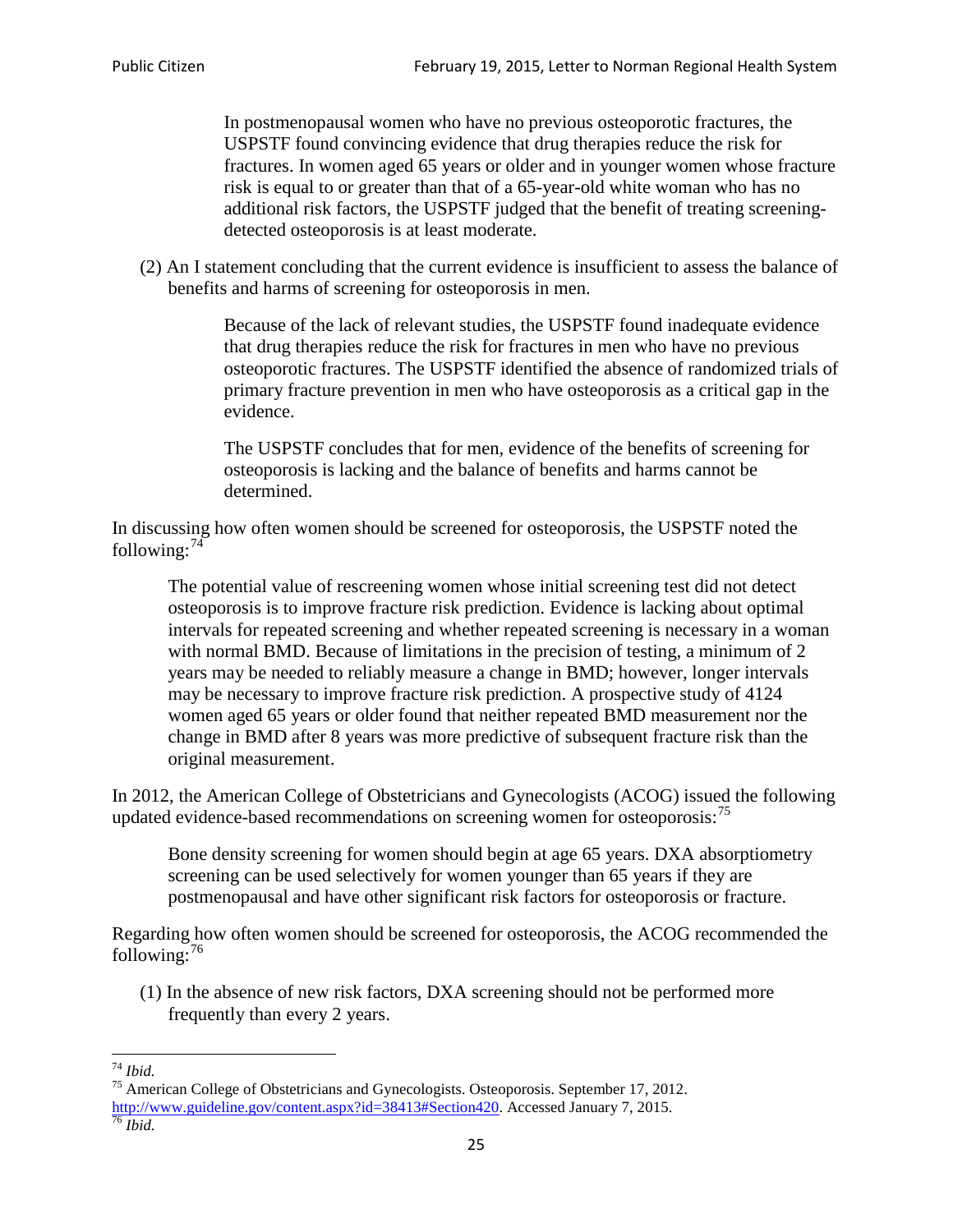In postmenopausal women who have no previous osteoporotic fractures, the USPSTF found convincing evidence that drug therapies reduce the risk for fractures. In women aged 65 years or older and in younger women whose fracture risk is equal to or greater than that of a 65-year-old white woman who has no additional risk factors, the USPSTF judged that the benefit of treating screeningdetected osteoporosis is at least moderate.

(2) An I statement concluding that the current evidence is insufficient to assess the balance of benefits and harms of screening for osteoporosis in men.

> Because of the lack of relevant studies, the USPSTF found inadequate evidence that drug therapies reduce the risk for fractures in men who have no previous osteoporotic fractures. The USPSTF identified the absence of randomized trials of primary fracture prevention in men who have osteoporosis as a critical gap in the evidence.

The USPSTF concludes that for men, evidence of the benefits of screening for osteoporosis is lacking and the balance of benefits and harms cannot be determined.

In discussing how often women should be screened for osteoporosis, the USPSTF noted the following: $74$ 

The potential value of rescreening women whose initial screening test did not detect osteoporosis is to improve fracture risk prediction. Evidence is lacking about optimal intervals for repeated screening and whether repeated screening is necessary in a woman with normal BMD. Because of limitations in the precision of testing, a minimum of 2 years may be needed to reliably measure a change in BMD; however, longer intervals may be necessary to improve fracture risk prediction. A prospective study of 4124 women aged 65 years or older found that neither repeated BMD measurement nor the change in BMD after 8 years was more predictive of subsequent fracture risk than the original measurement.

In 2012, the American College of Obstetricians and Gynecologists (ACOG) issued the following updated evidence-based recommendations on screening women for osteoporosis:<sup>[75](#page-24-1)</sup>

Bone density screening for women should begin at age 65 years. DXA absorptiometry screening can be used selectively for women younger than 65 years if they are postmenopausal and have other significant risk factors for osteoporosis or fracture.

Regarding how often women should be screened for osteoporosis, the ACOG recommended the following: $^{76}$  $^{76}$  $^{76}$ 

(1) In the absence of new risk factors, DXA screening should not be performed more frequently than every 2 years.

<span id="page-24-2"></span><span id="page-24-1"></span><span id="page-24-0"></span><sup>74</sup> *Ibid.* <sup>75</sup> American College of Obstetricians and Gynecologists. Osteoporosis. September 17, 2012. [http://www.guideline.gov/content.aspx?id=38413#Section420.](http://www.guideline.gov/content.aspx?id=38413#Section420) Accessed January 7, 2015.<br><sup>76</sup> *Ibid.*